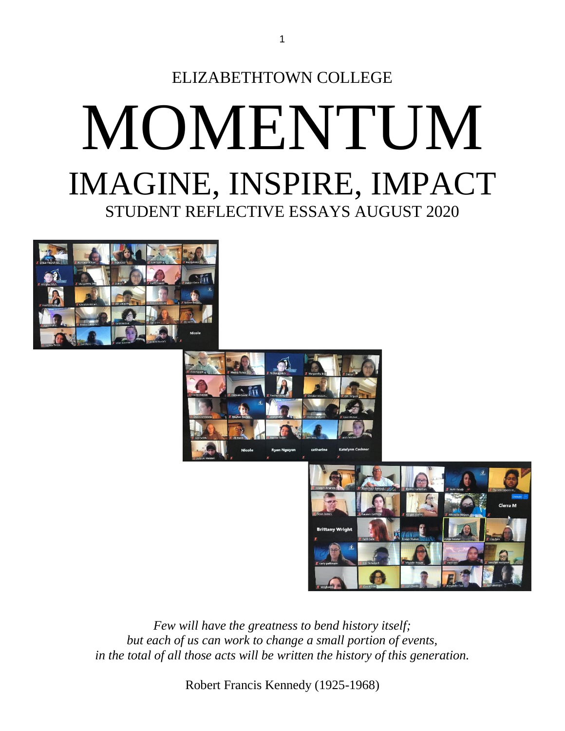







*Few will have the greatness to bend history itself; but each of us can work to change a small portion of events, in the total of all those acts will be written the history of this generation.*

Robert Francis Kennedy (1925-1968)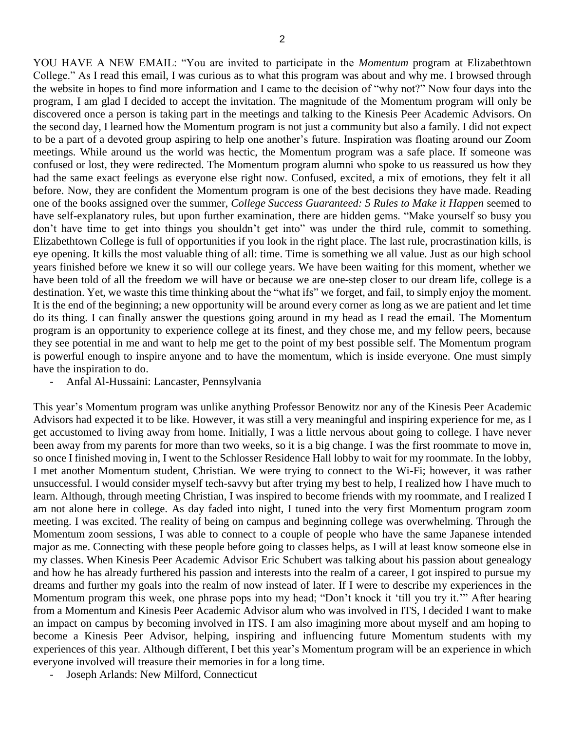YOU HAVE A NEW EMAIL: "You are invited to participate in the *Momentum* program at Elizabethtown College." As I read this email, I was curious as to what this program was about and why me. I browsed through the website in hopes to find more information and I came to the decision of "why not?" Now four days into the program, I am glad I decided to accept the invitation. The magnitude of the Momentum program will only be discovered once a person is taking part in the meetings and talking to the Kinesis Peer Academic Advisors. On the second day, I learned how the Momentum program is not just a community but also a family. I did not expect to be a part of a devoted group aspiring to help one another's future. Inspiration was floating around our Zoom meetings. While around us the world was hectic, the Momentum program was a safe place. If someone was confused or lost, they were redirected. The Momentum program alumni who spoke to us reassured us how they had the same exact feelings as everyone else right now. Confused, excited, a mix of emotions, they felt it all before. Now, they are confident the Momentum program is one of the best decisions they have made. Reading one of the books assigned over the summer, *College Success Guaranteed: 5 Rules to Make it Happen* seemed to have self-explanatory rules, but upon further examination, there are hidden gems. "Make yourself so busy you don't have time to get into things you shouldn't get into" was under the third rule, commit to something. Elizabethtown College is full of opportunities if you look in the right place. The last rule, procrastination kills, is eye opening. It kills the most valuable thing of all: time. Time is something we all value. Just as our high school years finished before we knew it so will our college years. We have been waiting for this moment, whether we have been told of all the freedom we will have or because we are one-step closer to our dream life, college is a destination. Yet, we waste this time thinking about the "what ifs" we forget, and fail, to simply enjoy the moment. It is the end of the beginning; a new opportunity will be around every corner as long as we are patient and let time do its thing. I can finally answer the questions going around in my head as I read the email. The Momentum program is an opportunity to experience college at its finest, and they chose me, and my fellow peers, because they see potential in me and want to help me get to the point of my best possible self. The Momentum program is powerful enough to inspire anyone and to have the momentum, which is inside everyone. One must simply have the inspiration to do.

- Anfal Al-Hussaini: Lancaster, Pennsylvania

This year's Momentum program was unlike anything Professor Benowitz nor any of the Kinesis Peer Academic Advisors had expected it to be like. However, it was still a very meaningful and inspiring experience for me, as I get accustomed to living away from home. Initially, I was a little nervous about going to college. I have never been away from my parents for more than two weeks, so it is a big change. I was the first roommate to move in, so once I finished moving in, I went to the Schlosser Residence Hall lobby to wait for my roommate. In the lobby, I met another Momentum student, Christian. We were trying to connect to the Wi-Fi; however, it was rather unsuccessful. I would consider myself tech-savvy but after trying my best to help, I realized how I have much to learn. Although, through meeting Christian, I was inspired to become friends with my roommate, and I realized I am not alone here in college. As day faded into night, I tuned into the very first Momentum program zoom meeting. I was excited. The reality of being on campus and beginning college was overwhelming. Through the Momentum zoom sessions, I was able to connect to a couple of people who have the same Japanese intended major as me. Connecting with these people before going to classes helps, as I will at least know someone else in my classes. When Kinesis Peer Academic Advisor Eric Schubert was talking about his passion about genealogy and how he has already furthered his passion and interests into the realm of a career, I got inspired to pursue my dreams and further my goals into the realm of now instead of later. If I were to describe my experiences in the Momentum program this week, one phrase pops into my head; "Don't knock it 'till you try it.'" After hearing from a Momentum and Kinesis Peer Academic Advisor alum who was involved in ITS, I decided I want to make an impact on campus by becoming involved in ITS. I am also imagining more about myself and am hoping to become a Kinesis Peer Advisor, helping, inspiring and influencing future Momentum students with my experiences of this year. Although different, I bet this year's Momentum program will be an experience in which everyone involved will treasure their memories in for a long time.

Joseph Arlands: New Milford, Connecticut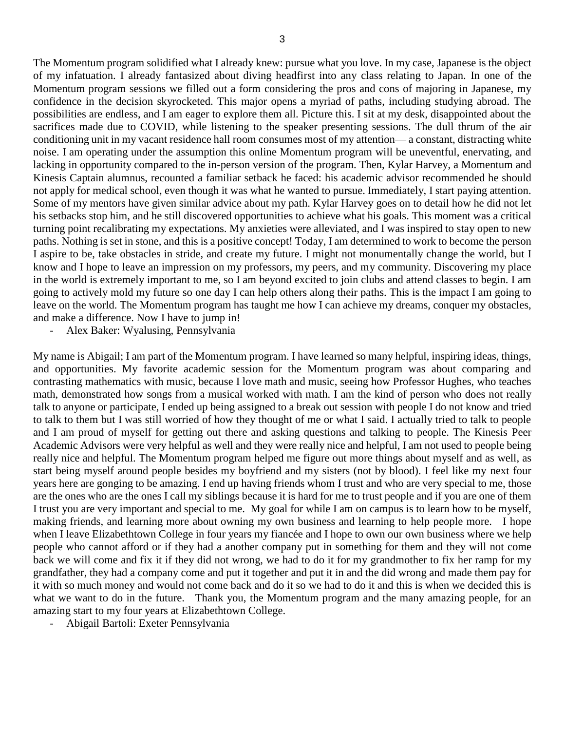The Momentum program solidified what I already knew: pursue what you love. In my case, Japanese is the object of my infatuation. I already fantasized about diving headfirst into any class relating to Japan. In one of the Momentum program sessions we filled out a form considering the pros and cons of majoring in Japanese, my confidence in the decision skyrocketed. This major opens a myriad of paths, including studying abroad. The possibilities are endless, and I am eager to explore them all. Picture this. I sit at my desk, disappointed about the sacrifices made due to COVID, while listening to the speaker presenting sessions. The dull thrum of the air conditioning unit in my vacant residence hall room consumes most of my attention— a constant, distracting white noise. I am operating under the assumption this online Momentum program will be uneventful, enervating, and lacking in opportunity compared to the in-person version of the program. Then, Kylar Harvey, a Momentum and Kinesis Captain alumnus, recounted a familiar setback he faced: his academic advisor recommended he should not apply for medical school, even though it was what he wanted to pursue. Immediately, I start paying attention. Some of my mentors have given similar advice about my path. Kylar Harvey goes on to detail how he did not let his setbacks stop him, and he still discovered opportunities to achieve what his goals. This moment was a critical turning point recalibrating my expectations. My anxieties were alleviated, and I was inspired to stay open to new paths. Nothing is set in stone, and this is a positive concept! Today, I am determined to work to become the person I aspire to be, take obstacles in stride, and create my future. I might not monumentally change the world, but I know and I hope to leave an impression on my professors, my peers, and my community. Discovering my place in the world is extremely important to me, so I am beyond excited to join clubs and attend classes to begin. I am going to actively mold my future so one day I can help others along their paths. This is the impact I am going to leave on the world. The Momentum program has taught me how I can achieve my dreams, conquer my obstacles, and make a difference. Now I have to jump in!

- Alex Baker: Wyalusing, Pennsylvania

My name is Abigail; I am part of the Momentum program. I have learned so many helpful, inspiring ideas, things, and opportunities. My favorite academic session for the Momentum program was about comparing and contrasting mathematics with music, because I love math and music, seeing how Professor Hughes, who teaches math, demonstrated how songs from a musical worked with math. I am the kind of person who does not really talk to anyone or participate, I ended up being assigned to a break out session with people I do not know and tried to talk to them but I was still worried of how they thought of me or what I said. I actually tried to talk to people and I am proud of myself for getting out there and asking questions and talking to people. The Kinesis Peer Academic Advisors were very helpful as well and they were really nice and helpful, I am not used to people being really nice and helpful. The Momentum program helped me figure out more things about myself and as well, as start being myself around people besides my boyfriend and my sisters (not by blood). I feel like my next four years here are gonging to be amazing. I end up having friends whom I trust and who are very special to me, those are the ones who are the ones I call my siblings because it is hard for me to trust people and if you are one of them I trust you are very important and special to me. My goal for while I am on campus is to learn how to be myself, making friends, and learning more about owning my own business and learning to help people more. I hope when I leave Elizabethtown College in four years my fiancée and I hope to own our own business where we help people who cannot afford or if they had a another company put in something for them and they will not come back we will come and fix it if they did not wrong, we had to do it for my grandmother to fix her ramp for my grandfather, they had a company come and put it together and put it in and the did wrong and made them pay for it with so much money and would not come back and do it so we had to do it and this is when we decided this is what we want to do in the future. Thank you, the Momentum program and the many amazing people, for an amazing start to my four years at Elizabethtown College.

- Abigail Bartoli: Exeter Pennsylvania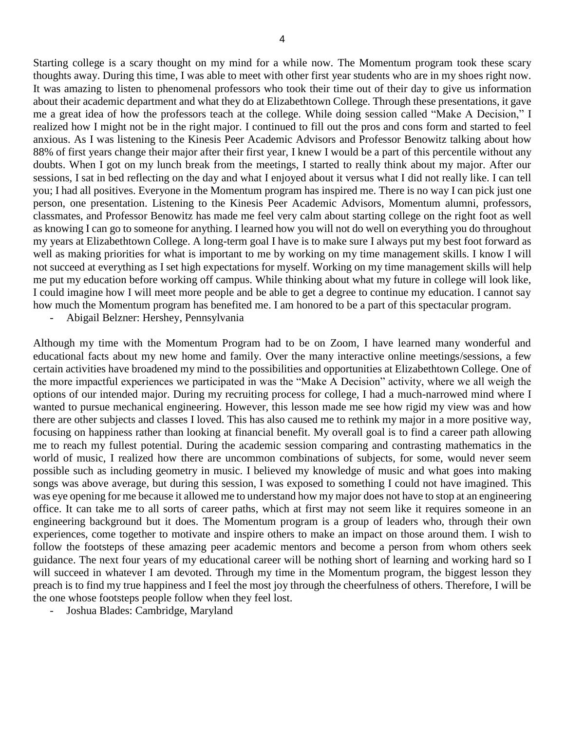Starting college is a scary thought on my mind for a while now. The Momentum program took these scary thoughts away. During this time, I was able to meet with other first year students who are in my shoes right now. It was amazing to listen to phenomenal professors who took their time out of their day to give us information about their academic department and what they do at Elizabethtown College. Through these presentations, it gave me a great idea of how the professors teach at the college. While doing session called "Make A Decision," I realized how I might not be in the right major. I continued to fill out the pros and cons form and started to feel anxious. As I was listening to the Kinesis Peer Academic Advisors and Professor Benowitz talking about how 88% of first years change their major after their first year, I knew I would be a part of this percentile without any doubts. When I got on my lunch break from the meetings, I started to really think about my major. After our sessions, I sat in bed reflecting on the day and what I enjoyed about it versus what I did not really like. I can tell you; I had all positives. Everyone in the Momentum program has inspired me. There is no way I can pick just one person, one presentation. Listening to the Kinesis Peer Academic Advisors, Momentum alumni, professors, classmates, and Professor Benowitz has made me feel very calm about starting college on the right foot as well as knowing I can go to someone for anything. I learned how you will not do well on everything you do throughout my years at Elizabethtown College. A long-term goal I have is to make sure I always put my best foot forward as well as making priorities for what is important to me by working on my time management skills. I know I will not succeed at everything as I set high expectations for myself. Working on my time management skills will help me put my education before working off campus. While thinking about what my future in college will look like, I could imagine how I will meet more people and be able to get a degree to continue my education. I cannot say how much the Momentum program has benefited me. I am honored to be a part of this spectacular program.

- Abigail Belzner: Hershey, Pennsylvania

Although my time with the Momentum Program had to be on Zoom, I have learned many wonderful and educational facts about my new home and family. Over the many interactive online meetings/sessions, a few certain activities have broadened my mind to the possibilities and opportunities at Elizabethtown College. One of the more impactful experiences we participated in was the "Make A Decision" activity, where we all weigh the options of our intended major. During my recruiting process for college, I had a much-narrowed mind where I wanted to pursue mechanical engineering. However, this lesson made me see how rigid my view was and how there are other subjects and classes I loved. This has also caused me to rethink my major in a more positive way, focusing on happiness rather than looking at financial benefit. My overall goal is to find a career path allowing me to reach my fullest potential. During the academic session comparing and contrasting mathematics in the world of music, I realized how there are uncommon combinations of subjects, for some, would never seem possible such as including geometry in music. I believed my knowledge of music and what goes into making songs was above average, but during this session, I was exposed to something I could not have imagined. This was eye opening for me because it allowed me to understand how my major does not have to stop at an engineering office. It can take me to all sorts of career paths, which at first may not seem like it requires someone in an engineering background but it does. The Momentum program is a group of leaders who, through their own experiences, come together to motivate and inspire others to make an impact on those around them. I wish to follow the footsteps of these amazing peer academic mentors and become a person from whom others seek guidance. The next four years of my educational career will be nothing short of learning and working hard so I will succeed in whatever I am devoted. Through my time in the Momentum program, the biggest lesson they preach is to find my true happiness and I feel the most joy through the cheerfulness of others. Therefore, I will be the one whose footsteps people follow when they feel lost.

- Joshua Blades: Cambridge, Maryland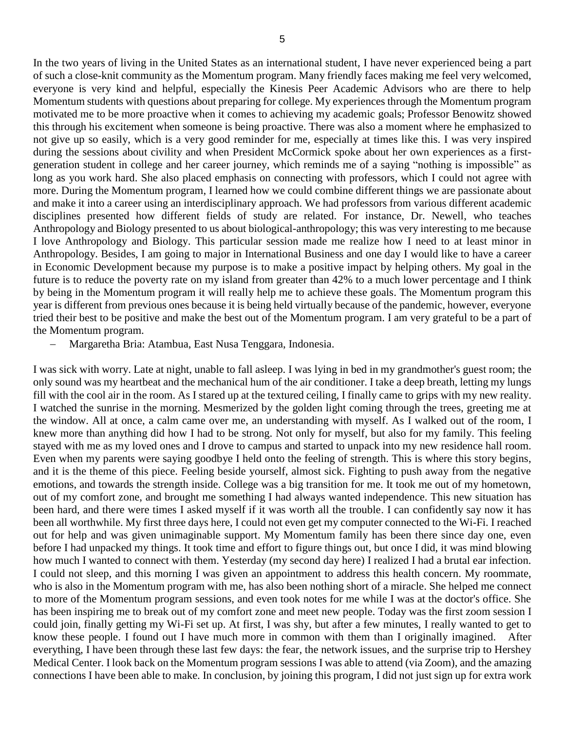In the two years of living in the United States as an international student, I have never experienced being a part of such a close-knit community as the Momentum program. Many friendly faces making me feel very welcomed, everyone is very kind and helpful, especially the Kinesis Peer Academic Advisors who are there to help Momentum students with questions about preparing for college. My experiences through the Momentum program motivated me to be more proactive when it comes to achieving my academic goals; Professor Benowitz showed this through his excitement when someone is being proactive. There was also a moment where he emphasized to not give up so easily, which is a very good reminder for me, especially at times like this. I was very inspired during the sessions about civility and when President McCormick spoke about her own experiences as a firstgeneration student in college and her career journey, which reminds me of a saying "nothing is impossible" as long as you work hard. She also placed emphasis on connecting with professors, which I could not agree with more. During the Momentum program, I learned how we could combine different things we are passionate about and make it into a career using an interdisciplinary approach. We had professors from various different academic disciplines presented how different fields of study are related. For instance, Dr. Newell, who teaches Anthropology and Biology presented to us about biological-anthropology; this was very interesting to me because I love Anthropology and Biology. This particular session made me realize how I need to at least minor in Anthropology. Besides, I am going to major in International Business and one day I would like to have a career in Economic Development because my purpose is to make a positive impact by helping others. My goal in the future is to reduce the poverty rate on my island from greater than 42% to a much lower percentage and I think by being in the Momentum program it will really help me to achieve these goals. The Momentum program this year is different from previous ones because it is being held virtually because of the pandemic, however, everyone tried their best to be positive and make the best out of the Momentum program. I am very grateful to be a part of the Momentum program.

Margaretha Bria: Atambua, East Nusa Tenggara, Indonesia.

I was sick with worry. Late at night, unable to fall asleep. I was lying in bed in my grandmother's guest room; the only sound was my heartbeat and the mechanical hum of the air conditioner. I take a deep breath, letting my lungs fill with the cool air in the room. As I stared up at the textured ceiling, I finally came to grips with my new reality. I watched the sunrise in the morning. Mesmerized by the golden light coming through the trees, greeting me at the window. All at once, a calm came over me, an understanding with myself. As I walked out of the room, I knew more than anything did how I had to be strong. Not only for myself, but also for my family. This feeling stayed with me as my loved ones and I drove to campus and started to unpack into my new residence hall room. Even when my parents were saying goodbye I held onto the feeling of strength. This is where this story begins, and it is the theme of this piece. Feeling beside yourself, almost sick. Fighting to push away from the negative emotions, and towards the strength inside. College was a big transition for me. It took me out of my hometown, out of my comfort zone, and brought me something I had always wanted independence. This new situation has been hard, and there were times I asked myself if it was worth all the trouble. I can confidently say now it has been all worthwhile. My first three days here, I could not even get my computer connected to the Wi-Fi. I reached out for help and was given unimaginable support. My Momentum family has been there since day one, even before I had unpacked my things. It took time and effort to figure things out, but once I did, it was mind blowing how much I wanted to connect with them. Yesterday (my second day here) I realized I had a brutal ear infection. I could not sleep, and this morning I was given an appointment to address this health concern. My roommate, who is also in the Momentum program with me, has also been nothing short of a miracle. She helped me connect to more of the Momentum program sessions, and even took notes for me while I was at the doctor's office. She has been inspiring me to break out of my comfort zone and meet new people. Today was the first zoom session I could join, finally getting my Wi-Fi set up. At first, I was shy, but after a few minutes, I really wanted to get to know these people. I found out I have much more in common with them than I originally imagined. After everything, I have been through these last few days: the fear, the network issues, and the surprise trip to Hershey Medical Center. I look back on the Momentum program sessions I was able to attend (via Zoom), and the amazing connections I have been able to make. In conclusion, by joining this program, I did not just sign up for extra work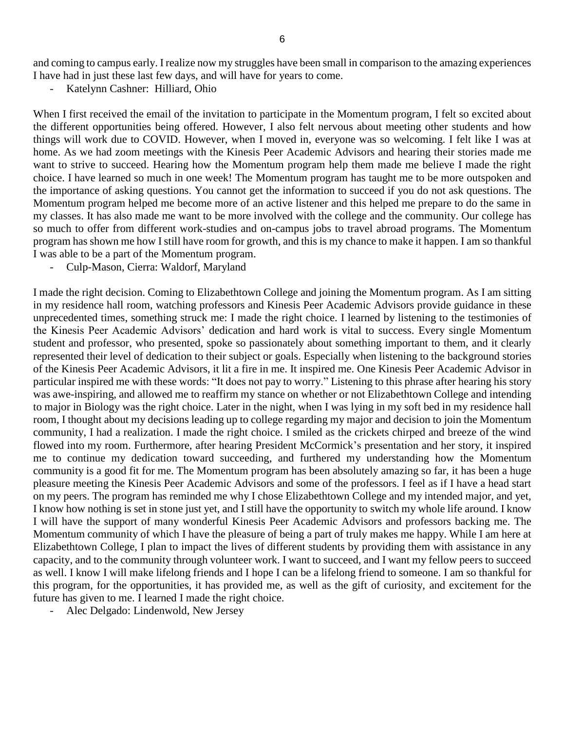and coming to campus early. I realize now my struggles have been small in comparison to the amazing experiences I have had in just these last few days, and will have for years to come.

Katelynn Cashner: Hilliard, Ohio

When I first received the email of the invitation to participate in the Momentum program, I felt so excited about the different opportunities being offered. However, I also felt nervous about meeting other students and how things will work due to COVID. However, when I moved in, everyone was so welcoming. I felt like I was at home. As we had zoom meetings with the Kinesis Peer Academic Advisors and hearing their stories made me want to strive to succeed. Hearing how the Momentum program help them made me believe I made the right choice. I have learned so much in one week! The Momentum program has taught me to be more outspoken and the importance of asking questions. You cannot get the information to succeed if you do not ask questions. The Momentum program helped me become more of an active listener and this helped me prepare to do the same in my classes. It has also made me want to be more involved with the college and the community. Our college has so much to offer from different work-studies and on-campus jobs to travel abroad programs. The Momentum program has shown me how I still have room for growth, and this is my chance to make it happen. I am so thankful I was able to be a part of the Momentum program.

- Culp-Mason, Cierra: Waldorf, Maryland

I made the right decision. Coming to Elizabethtown College and joining the Momentum program. As I am sitting in my residence hall room, watching professors and Kinesis Peer Academic Advisors provide guidance in these unprecedented times, something struck me: I made the right choice. I learned by listening to the testimonies of the Kinesis Peer Academic Advisors' dedication and hard work is vital to success. Every single Momentum student and professor, who presented, spoke so passionately about something important to them, and it clearly represented their level of dedication to their subject or goals. Especially when listening to the background stories of the Kinesis Peer Academic Advisors, it lit a fire in me. It inspired me. One Kinesis Peer Academic Advisor in particular inspired me with these words: "It does not pay to worry." Listening to this phrase after hearing his story was awe-inspiring, and allowed me to reaffirm my stance on whether or not Elizabethtown College and intending to major in Biology was the right choice. Later in the night, when I was lying in my soft bed in my residence hall room, I thought about my decisions leading up to college regarding my major and decision to join the Momentum community, I had a realization. I made the right choice. I smiled as the crickets chirped and breeze of the wind flowed into my room. Furthermore, after hearing President McCormick's presentation and her story, it inspired me to continue my dedication toward succeeding, and furthered my understanding how the Momentum community is a good fit for me. The Momentum program has been absolutely amazing so far, it has been a huge pleasure meeting the Kinesis Peer Academic Advisors and some of the professors. I feel as if I have a head start on my peers. The program has reminded me why I chose Elizabethtown College and my intended major, and yet, I know how nothing is set in stone just yet, and I still have the opportunity to switch my whole life around. I know I will have the support of many wonderful Kinesis Peer Academic Advisors and professors backing me. The Momentum community of which I have the pleasure of being a part of truly makes me happy. While I am here at Elizabethtown College, I plan to impact the lives of different students by providing them with assistance in any capacity, and to the community through volunteer work. I want to succeed, and I want my fellow peers to succeed as well. I know I will make lifelong friends and I hope I can be a lifelong friend to someone. I am so thankful for this program, for the opportunities, it has provided me, as well as the gift of curiosity, and excitement for the future has given to me. I learned I made the right choice.

- Alec Delgado: Lindenwold, New Jersey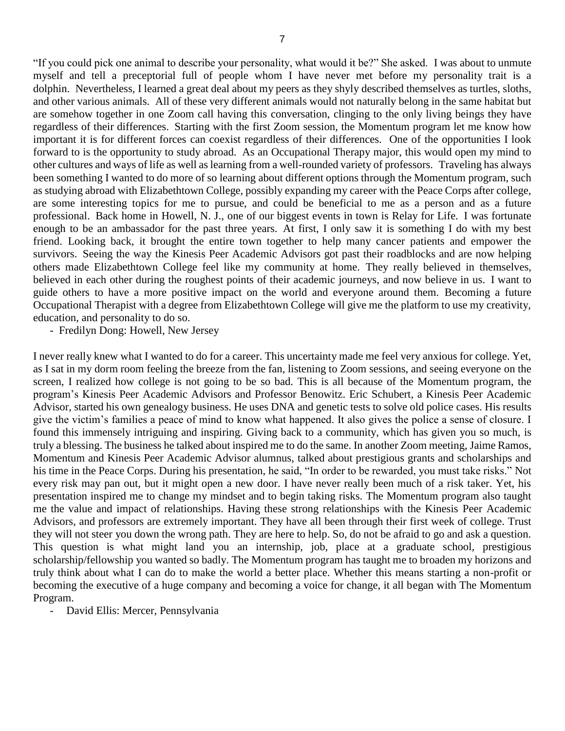"If you could pick one animal to describe your personality, what would it be?" She asked. I was about to unmute myself and tell a preceptorial full of people whom I have never met before my personality trait is a dolphin. Nevertheless, I learned a great deal about my peers as they shyly described themselves as turtles, sloths, and other various animals. All of these very different animals would not naturally belong in the same habitat but are somehow together in one Zoom call having this conversation, clinging to the only living beings they have regardless of their differences. Starting with the first Zoom session, the Momentum program let me know how important it is for different forces can coexist regardless of their differences. One of the opportunities I look forward to is the opportunity to study abroad. As an Occupational Therapy major, this would open my mind to other cultures and ways of life as well as learning from a well-rounded variety of professors. Traveling has always been something I wanted to do more of so learning about different options through the Momentum program, such as studying abroad with Elizabethtown College, possibly expanding my career with the Peace Corps after college, are some interesting topics for me to pursue, and could be beneficial to me as a person and as a future professional. Back home in Howell, N. J., one of our biggest events in town is Relay for Life. I was fortunate enough to be an ambassador for the past three years. At first, I only saw it is something I do with my best friend. Looking back, it brought the entire town together to help many cancer patients and empower the survivors. Seeing the way the Kinesis Peer Academic Advisors got past their roadblocks and are now helping others made Elizabethtown College feel like my community at home. They really believed in themselves, believed in each other during the roughest points of their academic journeys, and now believe in us. I want to guide others to have a more positive impact on the world and everyone around them. Becoming a future Occupational Therapist with a degree from Elizabethtown College will give me the platform to use my creativity, education, and personality to do so.

- Fredilyn Dong: Howell, New Jersey

I never really knew what I wanted to do for a career. This uncertainty made me feel very anxious for college. Yet, as I sat in my dorm room feeling the breeze from the fan, listening to Zoom sessions, and seeing everyone on the screen, I realized how college is not going to be so bad. This is all because of the Momentum program, the program's Kinesis Peer Academic Advisors and Professor Benowitz. Eric Schubert, a Kinesis Peer Academic Advisor, started his own genealogy business. He uses DNA and genetic tests to solve old police cases. His results give the victim's families a peace of mind to know what happened. It also gives the police a sense of closure. I found this immensely intriguing and inspiring. Giving back to a community, which has given you so much, is truly a blessing. The business he talked about inspired me to do the same. In another Zoom meeting, Jaime Ramos, Momentum and Kinesis Peer Academic Advisor alumnus, talked about prestigious grants and scholarships and his time in the Peace Corps. During his presentation, he said, "In order to be rewarded, you must take risks." Not every risk may pan out, but it might open a new door. I have never really been much of a risk taker. Yet, his presentation inspired me to change my mindset and to begin taking risks. The Momentum program also taught me the value and impact of relationships. Having these strong relationships with the Kinesis Peer Academic Advisors, and professors are extremely important. They have all been through their first week of college. Trust they will not steer you down the wrong path. They are here to help. So, do not be afraid to go and ask a question. This question is what might land you an internship, job, place at a graduate school, prestigious scholarship/fellowship you wanted so badly. The Momentum program has taught me to broaden my horizons and truly think about what I can do to make the world a better place. Whether this means starting a non-profit or becoming the executive of a huge company and becoming a voice for change, it all began with The Momentum Program.

- David Ellis: Mercer, Pennsylvania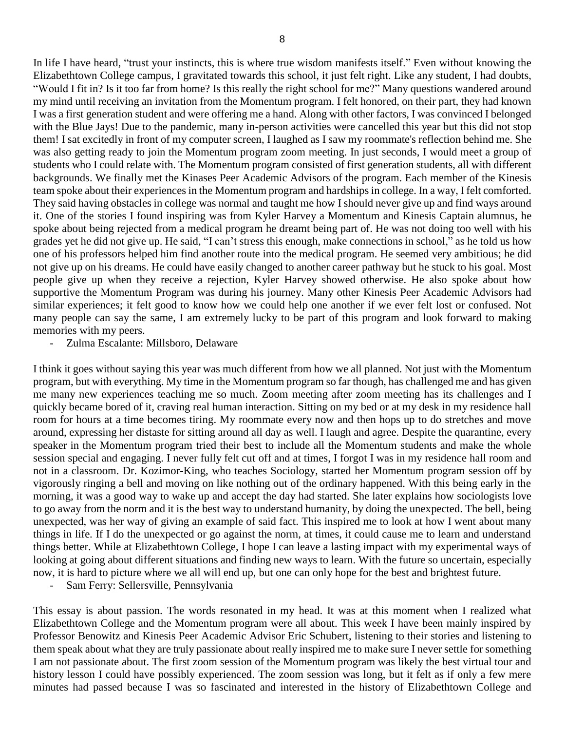In life I have heard, "trust your instincts, this is where true wisdom manifests itself." Even without knowing the Elizabethtown College campus, I gravitated towards this school, it just felt right. Like any student, I had doubts, "Would I fit in? Is it too far from home? Is this really the right school for me?" Many questions wandered around my mind until receiving an invitation from the Momentum program. I felt honored, on their part, they had known I was a first generation student and were offering me a hand. Along with other factors, I was convinced I belonged with the Blue Jays! Due to the pandemic, many in-person activities were cancelled this year but this did not stop them! I sat excitedly in front of my computer screen, I laughed as I saw my roommate's reflection behind me. She was also getting ready to join the Momentum program zoom meeting. In just seconds, I would meet a group of students who I could relate with. The Momentum program consisted of first generation students, all with different backgrounds. We finally met the Kinases Peer Academic Advisors of the program. Each member of the Kinesis team spoke about their experiences in the Momentum program and hardships in college. In a way, I felt comforted. They said having obstacles in college was normal and taught me how I should never give up and find ways around it. One of the stories I found inspiring was from Kyler Harvey a Momentum and Kinesis Captain alumnus, he spoke about being rejected from a medical program he dreamt being part of. He was not doing too well with his grades yet he did not give up. He said, "I can't stress this enough, make connections in school," as he told us how one of his professors helped him find another route into the medical program. He seemed very ambitious; he did not give up on his dreams. He could have easily changed to another career pathway but he stuck to his goal. Most people give up when they receive a rejection, Kyler Harvey showed otherwise. He also spoke about how supportive the Momentum Program was during his journey. Many other Kinesis Peer Academic Advisors had similar experiences; it felt good to know how we could help one another if we ever felt lost or confused. Not many people can say the same, I am extremely lucky to be part of this program and look forward to making memories with my peers.

- Zulma Escalante: Millsboro, Delaware

I think it goes without saying this year was much different from how we all planned. Not just with the Momentum program, but with everything. My time in the Momentum program so far though, has challenged me and has given me many new experiences teaching me so much. Zoom meeting after zoom meeting has its challenges and I quickly became bored of it, craving real human interaction. Sitting on my bed or at my desk in my residence hall room for hours at a time becomes tiring. My roommate every now and then hops up to do stretches and move around, expressing her distaste for sitting around all day as well. I laugh and agree. Despite the quarantine, every speaker in the Momentum program tried their best to include all the Momentum students and make the whole session special and engaging. I never fully felt cut off and at times, I forgot I was in my residence hall room and not in a classroom. Dr. Kozimor-King, who teaches Sociology, started her Momentum program session off by vigorously ringing a bell and moving on like nothing out of the ordinary happened. With this being early in the morning, it was a good way to wake up and accept the day had started. She later explains how sociologists love to go away from the norm and it is the best way to understand humanity, by doing the unexpected. The bell, being unexpected, was her way of giving an example of said fact. This inspired me to look at how I went about many things in life. If I do the unexpected or go against the norm, at times, it could cause me to learn and understand things better. While at Elizabethtown College, I hope I can leave a lasting impact with my experimental ways of looking at going about different situations and finding new ways to learn. With the future so uncertain, especially now, it is hard to picture where we all will end up, but one can only hope for the best and brightest future.

Sam Ferry: Sellersville, Pennsylvania

This essay is about passion. The words resonated in my head. It was at this moment when I realized what Elizabethtown College and the Momentum program were all about. This week I have been mainly inspired by Professor Benowitz and Kinesis Peer Academic Advisor Eric Schubert, listening to their stories and listening to them speak about what they are truly passionate about really inspired me to make sure I never settle for something I am not passionate about. The first zoom session of the Momentum program was likely the best virtual tour and history lesson I could have possibly experienced. The zoom session was long, but it felt as if only a few mere minutes had passed because I was so fascinated and interested in the history of Elizabethtown College and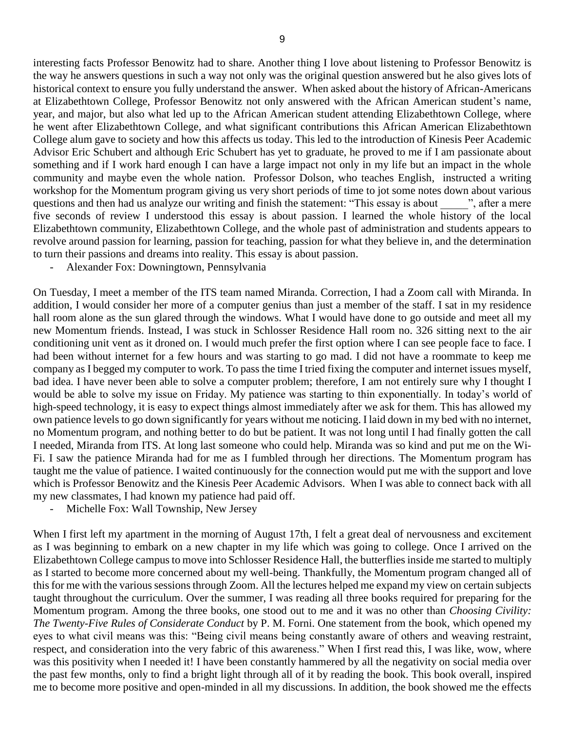interesting facts Professor Benowitz had to share. Another thing I love about listening to Professor Benowitz is the way he answers questions in such a way not only was the original question answered but he also gives lots of historical context to ensure you fully understand the answer. When asked about the history of African-Americans at Elizabethtown College, Professor Benowitz not only answered with the African American student's name, year, and major, but also what led up to the African American student attending Elizabethtown College, where he went after Elizabethtown College, and what significant contributions this African American Elizabethtown College alum gave to society and how this affects us today. This led to the introduction of Kinesis Peer Academic Advisor Eric Schubert and although Eric Schubert has yet to graduate, he proved to me if I am passionate about something and if I work hard enough I can have a large impact not only in my life but an impact in the whole community and maybe even the whole nation. Professor Dolson, who teaches English, instructed a writing workshop for the Momentum program giving us very short periods of time to jot some notes down about various questions and then had us analyze our writing and finish the statement: "This essay is about ", after a mere five seconds of review I understood this essay is about passion. I learned the whole history of the local Elizabethtown community, Elizabethtown College, and the whole past of administration and students appears to revolve around passion for learning, passion for teaching, passion for what they believe in, and the determination to turn their passions and dreams into reality. This essay is about passion.

- Alexander Fox: Downingtown, Pennsylvania

On Tuesday, I meet a member of the ITS team named Miranda. Correction, I had a Zoom call with Miranda. In addition, I would consider her more of a computer genius than just a member of the staff. I sat in my residence hall room alone as the sun glared through the windows. What I would have done to go outside and meet all my new Momentum friends. Instead, I was stuck in Schlosser Residence Hall room no. 326 sitting next to the air conditioning unit vent as it droned on. I would much prefer the first option where I can see people face to face. I had been without internet for a few hours and was starting to go mad. I did not have a roommate to keep me company as I begged my computer to work. To pass the time I tried fixing the computer and internet issues myself, bad idea. I have never been able to solve a computer problem; therefore, I am not entirely sure why I thought I would be able to solve my issue on Friday. My patience was starting to thin exponentially. In today's world of high-speed technology, it is easy to expect things almost immediately after we ask for them. This has allowed my own patience levels to go down significantly for years without me noticing. I laid down in my bed with no internet, no Momentum program, and nothing better to do but be patient. It was not long until I had finally gotten the call I needed, Miranda from ITS. At long last someone who could help. Miranda was so kind and put me on the Wi-Fi. I saw the patience Miranda had for me as I fumbled through her directions. The Momentum program has taught me the value of patience. I waited continuously for the connection would put me with the support and love which is Professor Benowitz and the Kinesis Peer Academic Advisors. When I was able to connect back with all my new classmates, I had known my patience had paid off.

- Michelle Fox: Wall Township, New Jersey

When I first left my apartment in the morning of August 17th, I felt a great deal of nervousness and excitement as I was beginning to embark on a new chapter in my life which was going to college. Once I arrived on the Elizabethtown College campus to move into Schlosser Residence Hall, the butterflies inside me started to multiply as I started to become more concerned about my well-being. Thankfully, the Momentum program changed all of this for me with the various sessions through Zoom. All the lectures helped me expand my view on certain subjects taught throughout the curriculum. Over the summer, I was reading all three books required for preparing for the Momentum program. Among the three books, one stood out to me and it was no other than *Choosing Civility: The Twenty-Five Rules of Considerate Conduct* by P. M. Forni. One statement from the book, which opened my eyes to what civil means was this: "Being civil means being constantly aware of others and weaving restraint, respect, and consideration into the very fabric of this awareness." When I first read this, I was like, wow, where was this positivity when I needed it! I have been constantly hammered by all the negativity on social media over the past few months, only to find a bright light through all of it by reading the book. This book overall, inspired me to become more positive and open-minded in all my discussions. In addition, the book showed me the effects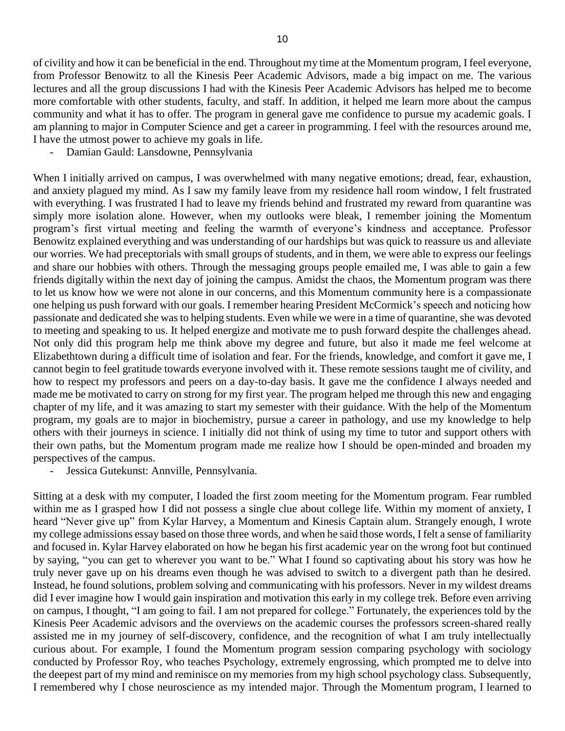of civility and how it can be beneficial in the end. Throughout my time at the Momentum program, I feel everyone, from Professor Benowitz to all the Kinesis Peer Academic Advisors, made a big impact on me. The various lectures and all the group discussions I had with the Kinesis Peer Academic Advisors has helped me to become more comfortable with other students, faculty, and staff. In addition, it helped me learn more about the campus community and what it has to offer. The program in general gave me confidence to pursue my academic goals. I am planning to major in Computer Science and get a career in programming. I feel with the resources around me, I have the utmost power to achieve my goals in life.

Damian Gauld: Lansdowne, Pennsylvania

When I initially arrived on campus, I was overwhelmed with many negative emotions; dread, fear, exhaustion, and anxiety plagued my mind. As I saw my family leave from my residence hall room window, I felt frustrated with everything. I was frustrated I had to leave my friends behind and frustrated my reward from quarantine was simply more isolation alone. However, when my outlooks were bleak, I remember joining the Momentum program's first virtual meeting and feeling the warmth of everyone's kindness and acceptance. Professor Benowitz explained everything and was understanding of our hardships but was quick to reassure us and alleviate our worries. We had preceptorials with small groups of students, and in them, we were able to express our feelings and share our hobbies with others. Through the messaging groups people emailed me, I was able to gain a few friends digitally within the next day of joining the campus. Amidst the chaos, the Momentum program was there to let us know how we were not alone in our concerns, and this Momentum community here is a compassionate one helping us push forward with our goals. I remember hearing President McCormick's speech and noticing how passionate and dedicated she was to helping students. Even while we were in a time of quarantine, she was devoted to meeting and speaking to us. It helped energize and motivate me to push forward despite the challenges ahead. Not only did this program help me think above my degree and future, but also it made me feel welcome at Elizabethtown during a difficult time of isolation and fear. For the friends, knowledge, and comfort it gave me, I cannot begin to feel gratitude towards everyone involved with it. These remote sessions taught me of civility, and how to respect my professors and peers on a day-to-day basis. It gave me the confidence I always needed and made me be motivated to carry on strong for my first year. The program helped me through this new and engaging chapter of my life, and it was amazing to start my semester with their guidance. With the help of the Momentum program, my goals are to major in biochemistry, pursue a career in pathology, and use my knowledge to help others with their journeys in science. I initially did not think of using my time to tutor and support others with their own paths, but the Momentum program made me realize how I should be open-minded and broaden my perspectives of the campus.

- Jessica Gutekunst: Annville, Pennsylvania.

Sitting at a desk with my computer, I loaded the first zoom meeting for the Momentum program. Fear rumbled within me as I grasped how I did not possess a single clue about college life. Within my moment of anxiety, I heard "Never give up" from Kylar Harvey, a Momentum and Kinesis Captain alum. Strangely enough, I wrote my college admissions essay based on those three words, and when he said those words, I felt a sense of familiarity and focused in. Kylar Harvey elaborated on how he began his first academic year on the wrong foot but continued by saying, "you can get to wherever you want to be." What I found so captivating about his story was how he truly never gave up on his dreams even though he was advised to switch to a divergent path than he desired. Instead, he found solutions, problem solving and communicating with his professors. Never in my wildest dreams did I ever imagine how I would gain inspiration and motivation this early in my college trek. Before even arriving on campus, I thought, "I am going to fail. I am not prepared for college." Fortunately, the experiences told by the Kinesis Peer Academic advisors and the overviews on the academic courses the professors screen-shared really assisted me in my journey of self-discovery, confidence, and the recognition of what I am truly intellectually curious about. For example, I found the Momentum program session comparing psychology with sociology conducted by Professor Roy, who teaches Psychology, extremely engrossing, which prompted me to delve into the deepest part of my mind and reminisce on my memories from my high school psychology class. Subsequently, I remembered why I chose neuroscience as my intended major. Through the Momentum program, I learned to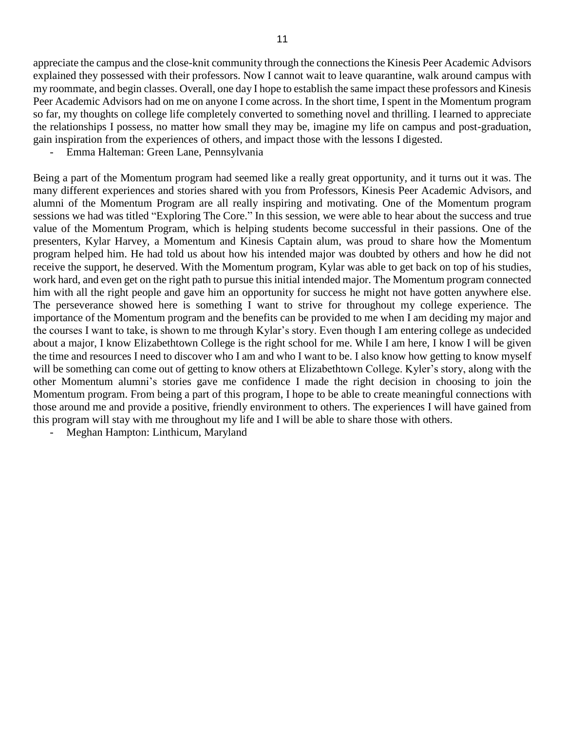appreciate the campus and the close-knit community through the connections the Kinesis Peer Academic Advisors explained they possessed with their professors. Now I cannot wait to leave quarantine, walk around campus with my roommate, and begin classes. Overall, one day I hope to establish the same impact these professors and Kinesis Peer Academic Advisors had on me on anyone I come across. In the short time, I spent in the Momentum program so far, my thoughts on college life completely converted to something novel and thrilling. I learned to appreciate the relationships I possess, no matter how small they may be, imagine my life on campus and post-graduation, gain inspiration from the experiences of others, and impact those with the lessons I digested.

- Emma Halteman: Green Lane, Pennsylvania

Being a part of the Momentum program had seemed like a really great opportunity, and it turns out it was. The many different experiences and stories shared with you from Professors, Kinesis Peer Academic Advisors, and alumni of the Momentum Program are all really inspiring and motivating. One of the Momentum program sessions we had was titled "Exploring The Core." In this session, we were able to hear about the success and true value of the Momentum Program, which is helping students become successful in their passions. One of the presenters, Kylar Harvey, a Momentum and Kinesis Captain alum, was proud to share how the Momentum program helped him. He had told us about how his intended major was doubted by others and how he did not receive the support, he deserved. With the Momentum program, Kylar was able to get back on top of his studies, work hard, and even get on the right path to pursue this initial intended major. The Momentum program connected him with all the right people and gave him an opportunity for success he might not have gotten anywhere else. The perseverance showed here is something I want to strive for throughout my college experience. The importance of the Momentum program and the benefits can be provided to me when I am deciding my major and the courses I want to take, is shown to me through Kylar's story. Even though I am entering college as undecided about a major, I know Elizabethtown College is the right school for me. While I am here, I know I will be given the time and resources I need to discover who I am and who I want to be. I also know how getting to know myself will be something can come out of getting to know others at Elizabethtown College. Kyler's story, along with the other Momentum alumni's stories gave me confidence I made the right decision in choosing to join the Momentum program. From being a part of this program, I hope to be able to create meaningful connections with those around me and provide a positive, friendly environment to others. The experiences I will have gained from this program will stay with me throughout my life and I will be able to share those with others.

- Meghan Hampton: Linthicum, Maryland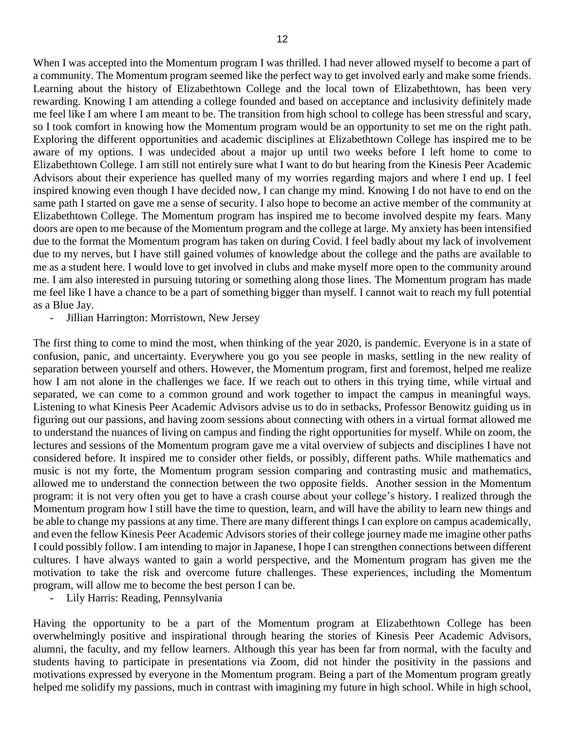a community. The Momentum program seemed like the perfect way to get involved early and make some friends. Learning about the history of Elizabethtown College and the local town of Elizabethtown, has been very rewarding. Knowing I am attending a college founded and based on acceptance and inclusivity definitely made me feel like I am where I am meant to be. The transition from high school to college has been stressful and scary, so I took comfort in knowing how the Momentum program would be an opportunity to set me on the right path. Exploring the different opportunities and academic disciplines at Elizabethtown College has inspired me to be aware of my options. I was undecided about a major up until two weeks before I left home to come to Elizabethtown College. I am still not entirely sure what I want to do but hearing from the Kinesis Peer Academic Advisors about their experience has quelled many of my worries regarding majors and where I end up. I feel inspired knowing even though I have decided now, I can change my mind. Knowing I do not have to end on the same path I started on gave me a sense of security. I also hope to become an active member of the community at Elizabethtown College. The Momentum program has inspired me to become involved despite my fears. Many doors are open to me because of the Momentum program and the college at large. My anxiety has been intensified due to the format the Momentum program has taken on during Covid. I feel badly about my lack of involvement due to my nerves, but I have still gained volumes of knowledge about the college and the paths are available to me as a student here. I would love to get involved in clubs and make myself more open to the community around me. I am also interested in pursuing tutoring or something along those lines. The Momentum program has made me feel like I have a chance to be a part of something bigger than myself. I cannot wait to reach my full potential as a Blue Jay.

- Jillian Harrington: Morristown, New Jersey

The first thing to come to mind the most, when thinking of the year 2020, is pandemic. Everyone is in a state of confusion, panic, and uncertainty. Everywhere you go you see people in masks, settling in the new reality of separation between yourself and others. However, the Momentum program, first and foremost, helped me realize how I am not alone in the challenges we face. If we reach out to others in this trying time, while virtual and separated, we can come to a common ground and work together to impact the campus in meaningful ways. Listening to what Kinesis Peer Academic Advisors advise us to do in setbacks, Professor Benowitz guiding us in figuring out our passions, and having zoom sessions about connecting with others in a virtual format allowed me to understand the nuances of living on campus and finding the right opportunities for myself. While on zoom, the lectures and sessions of the Momentum program gave me a vital overview of subjects and disciplines I have not considered before. It inspired me to consider other fields, or possibly, different paths. While mathematics and music is not my forte, the Momentum program session comparing and contrasting music and mathematics, allowed me to understand the connection between the two opposite fields. Another session in the Momentum program: it is not very often you get to have a crash course about your college's history. I realized through the Momentum program how I still have the time to question, learn, and will have the ability to learn new things and be able to change my passions at any time. There are many different things I can explore on campus academically, and even the fellow Kinesis Peer Academic Advisors stories of their college journey made me imagine other paths I could possibly follow. I am intending to major in Japanese, I hope I can strengthen connections between different cultures. I have always wanted to gain a world perspective, and the Momentum program has given me the motivation to take the risk and overcome future challenges. These experiences, including the Momentum program, will allow me to become the best person I can be.

- Lily Harris: Reading, Pennsylvania

Having the opportunity to be a part of the Momentum program at Elizabethtown College has been overwhelmingly positive and inspirational through hearing the stories of Kinesis Peer Academic Advisors, alumni, the faculty, and my fellow learners. Although this year has been far from normal, with the faculty and students having to participate in presentations via Zoom, did not hinder the positivity in the passions and motivations expressed by everyone in the Momentum program. Being a part of the Momentum program greatly helped me solidify my passions, much in contrast with imagining my future in high school. While in high school,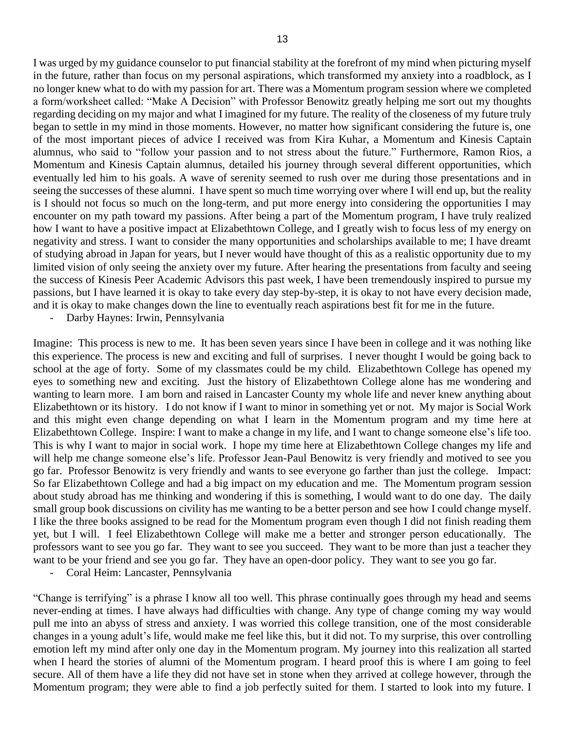I was urged by my guidance counselor to put financial stability at the forefront of my mind when picturing myself in the future, rather than focus on my personal aspirations, which transformed my anxiety into a roadblock, as I no longer knew what to do with my passion for art. There was a Momentum program session where we completed a form/worksheet called: "Make A Decision" with Professor Benowitz greatly helping me sort out my thoughts regarding deciding on my major and what I imagined for my future. The reality of the closeness of my future truly

began to settle in my mind in those moments. However, no matter how significant considering the future is, one of the most important pieces of advice I received was from Kira Kuhar, a Momentum and Kinesis Captain alumnus, who said to "follow your passion and to not stress about the future." Furthermore, Ramon Rios, a Momentum and Kinesis Captain alumnus, detailed his journey through several different opportunities, which eventually led him to his goals. A wave of serenity seemed to rush over me during those presentations and in seeing the successes of these alumni. I have spent so much time worrying over where I will end up, but the reality is I should not focus so much on the long-term, and put more energy into considering the opportunities I may encounter on my path toward my passions. After being a part of the Momentum program, I have truly realized how I want to have a positive impact at Elizabethtown College, and I greatly wish to focus less of my energy on negativity and stress. I want to consider the many opportunities and scholarships available to me; I have dreamt of studying abroad in Japan for years, but I never would have thought of this as a realistic opportunity due to my limited vision of only seeing the anxiety over my future. After hearing the presentations from faculty and seeing the success of Kinesis Peer Academic Advisors this past week, I have been tremendously inspired to pursue my passions, but I have learned it is okay to take every day step-by-step, it is okay to not have every decision made, and it is okay to make changes down the line to eventually reach aspirations best fit for me in the future.

Darby Haynes: Irwin, Pennsylvania

Imagine: This process is new to me. It has been seven years since I have been in college and it was nothing like this experience. The process is new and exciting and full of surprises. I never thought I would be going back to school at the age of forty. Some of my classmates could be my child. Elizabethtown College has opened my eyes to something new and exciting. Just the history of Elizabethtown College alone has me wondering and wanting to learn more. I am born and raised in Lancaster County my whole life and never knew anything about Elizabethtown or its history. I do not know if I want to minor in something yet or not. My major is Social Work and this might even change depending on what I learn in the Momentum program and my time here at Elizabethtown College. Inspire: I want to make a change in my life, and I want to change someone else's life too. This is why I want to major in social work. I hope my time here at Elizabethtown College changes my life and will help me change someone else's life. Professor Jean-Paul Benowitz is very friendly and motived to see you go far. Professor Benowitz is very friendly and wants to see everyone go farther than just the college. Impact: So far Elizabethtown College and had a big impact on my education and me. The Momentum program session about study abroad has me thinking and wondering if this is something, I would want to do one day. The daily small group book discussions on civility has me wanting to be a better person and see how I could change myself. I like the three books assigned to be read for the Momentum program even though I did not finish reading them yet, but I will. I feel Elizabethtown College will make me a better and stronger person educationally. The professors want to see you go far. They want to see you succeed. They want to be more than just a teacher they want to be your friend and see you go far. They have an open-door policy. They want to see you go far.

- Coral Heim: Lancaster, Pennsylvania

"Change is terrifying" is a phrase I know all too well. This phrase continually goes through my head and seems never-ending at times. I have always had difficulties with change. Any type of change coming my way would pull me into an abyss of stress and anxiety. I was worried this college transition, one of the most considerable changes in a young adult's life, would make me feel like this, but it did not. To my surprise, this over controlling emotion left my mind after only one day in the Momentum program. My journey into this realization all started when I heard the stories of alumni of the Momentum program. I heard proof this is where I am going to feel secure. All of them have a life they did not have set in stone when they arrived at college however, through the Momentum program; they were able to find a job perfectly suited for them. I started to look into my future. I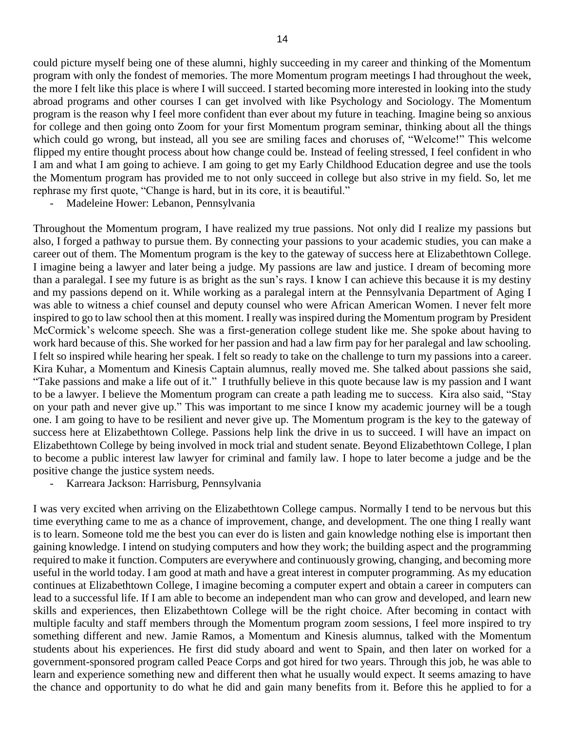could picture myself being one of these alumni, highly succeeding in my career and thinking of the Momentum program with only the fondest of memories. The more Momentum program meetings I had throughout the week, the more I felt like this place is where I will succeed. I started becoming more interested in looking into the study abroad programs and other courses I can get involved with like Psychology and Sociology. The Momentum program is the reason why I feel more confident than ever about my future in teaching. Imagine being so anxious for college and then going onto Zoom for your first Momentum program seminar, thinking about all the things which could go wrong, but instead, all you see are smiling faces and choruses of, "Welcome!" This welcome flipped my entire thought process about how change could be. Instead of feeling stressed, I feel confident in who I am and what I am going to achieve. I am going to get my Early Childhood Education degree and use the tools the Momentum program has provided me to not only succeed in college but also strive in my field. So, let me rephrase my first quote, "Change is hard, but in its core, it is beautiful."

- Madeleine Hower: Lebanon, Pennsylvania

Throughout the Momentum program, I have realized my true passions. Not only did I realize my passions but also, I forged a pathway to pursue them. By connecting your passions to your academic studies, you can make a career out of them. The Momentum program is the key to the gateway of success here at Elizabethtown College. I imagine being a lawyer and later being a judge. My passions are law and justice. I dream of becoming more than a paralegal. I see my future is as bright as the sun's rays. I know I can achieve this because it is my destiny and my passions depend on it. While working as a paralegal intern at the Pennsylvania Department of Aging I was able to witness a chief counsel and deputy counsel who were African American Women. I never felt more inspired to go to law school then at this moment. I really was inspired during the Momentum program by President McCormick's welcome speech. She was a first-generation college student like me. She spoke about having to work hard because of this. She worked for her passion and had a law firm pay for her paralegal and law schooling. I felt so inspired while hearing her speak. I felt so ready to take on the challenge to turn my passions into a career. Kira Kuhar, a Momentum and Kinesis Captain alumnus, really moved me. She talked about passions she said, "Take passions and make a life out of it." I truthfully believe in this quote because law is my passion and I want to be a lawyer. I believe the Momentum program can create a path leading me to success. Kira also said, "Stay on your path and never give up." This was important to me since I know my academic journey will be a tough one. I am going to have to be resilient and never give up. The Momentum program is the key to the gateway of success here at Elizabethtown College. Passions help link the drive in us to succeed. I will have an impact on Elizabethtown College by being involved in mock trial and student senate. Beyond Elizabethtown College, I plan to become a public interest law lawyer for criminal and family law. I hope to later become a judge and be the positive change the justice system needs.

Karreara Jackson: Harrisburg, Pennsylvania

I was very excited when arriving on the Elizabethtown College campus. Normally I tend to be nervous but this time everything came to me as a chance of improvement, change, and development. The one thing I really want is to learn. Someone told me the best you can ever do is listen and gain knowledge nothing else is important then gaining knowledge. I intend on studying computers and how they work; the building aspect and the programming required to make it function. Computers are everywhere and continuously growing, changing, and becoming more useful in the world today. I am good at math and have a great interest in computer programming. As my education continues at Elizabethtown College, I imagine becoming a computer expert and obtain a career in computers can lead to a successful life. If I am able to become an independent man who can grow and developed, and learn new skills and experiences, then Elizabethtown College will be the right choice. After becoming in contact with multiple faculty and staff members through the Momentum program zoom sessions, I feel more inspired to try something different and new. Jamie Ramos, a Momentum and Kinesis alumnus, talked with the Momentum students about his experiences. He first did study aboard and went to Spain, and then later on worked for a government-sponsored program called Peace Corps and got hired for two years. Through this job, he was able to learn and experience something new and different then what he usually would expect. It seems amazing to have the chance and opportunity to do what he did and gain many benefits from it. Before this he applied to for a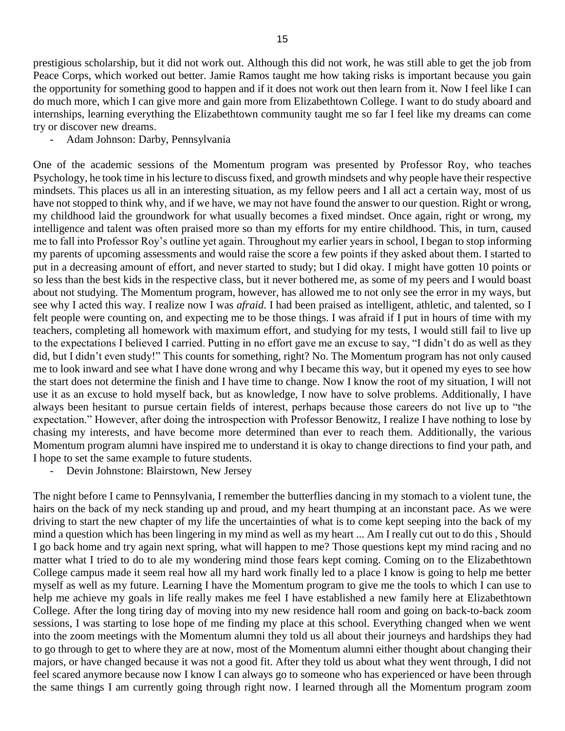prestigious scholarship, but it did not work out. Although this did not work, he was still able to get the job from Peace Corps, which worked out better. Jamie Ramos taught me how taking risks is important because you gain the opportunity for something good to happen and if it does not work out then learn from it. Now I feel like I can do much more, which I can give more and gain more from Elizabethtown College. I want to do study aboard and internships, learning everything the Elizabethtown community taught me so far I feel like my dreams can come try or discover new dreams.

- Adam Johnson: Darby, Pennsylvania

One of the academic sessions of the Momentum program was presented by Professor Roy, who teaches Psychology, he took time in his lecture to discuss fixed, and growth mindsets and why people have their respective mindsets. This places us all in an interesting situation, as my fellow peers and I all act a certain way, most of us have not stopped to think why, and if we have, we may not have found the answer to our question. Right or wrong, my childhood laid the groundwork for what usually becomes a fixed mindset. Once again, right or wrong, my intelligence and talent was often praised more so than my efforts for my entire childhood. This, in turn, caused me to fall into Professor Roy's outline yet again. Throughout my earlier years in school, I began to stop informing my parents of upcoming assessments and would raise the score a few points if they asked about them. I started to put in a decreasing amount of effort, and never started to study; but I did okay. I might have gotten 10 points or so less than the best kids in the respective class, but it never bothered me, as some of my peers and I would boast about not studying. The Momentum program, however, has allowed me to not only see the error in my ways, but see why I acted this way. I realize now I was *afraid*. I had been praised as intelligent, athletic, and talented, so I felt people were counting on, and expecting me to be those things. I was afraid if I put in hours of time with my teachers, completing all homework with maximum effort, and studying for my tests, I would still fail to live up to the expectations I believed I carried. Putting in no effort gave me an excuse to say, "I didn't do as well as they did, but I didn't even study!" This counts for something, right? No. The Momentum program has not only caused me to look inward and see what I have done wrong and why I became this way, but it opened my eyes to see how the start does not determine the finish and I have time to change. Now I know the root of my situation, I will not use it as an excuse to hold myself back, but as knowledge, I now have to solve problems. Additionally, I have always been hesitant to pursue certain fields of interest, perhaps because those careers do not live up to "the expectation." However, after doing the introspection with Professor Benowitz, I realize I have nothing to lose by chasing my interests, and have become more determined than ever to reach them. Additionally, the various Momentum program alumni have inspired me to understand it is okay to change directions to find your path, and I hope to set the same example to future students.

- Devin Johnstone: Blairstown, New Jersey

The night before I came to Pennsylvania, I remember the butterflies dancing in my stomach to a violent tune, the hairs on the back of my neck standing up and proud, and my heart thumping at an inconstant pace. As we were driving to start the new chapter of my life the uncertainties of what is to come kept seeping into the back of my mind a question which has been lingering in my mind as well as my heart ... Am I really cut out to do this , Should I go back home and try again next spring, what will happen to me? Those questions kept my mind racing and no matter what I tried to do to ale my wondering mind those fears kept coming. Coming on to the Elizabethtown College campus made it seem real how all my hard work finally led to a place I know is going to help me better myself as well as my future. Learning I have the Momentum program to give me the tools to which I can use to help me achieve my goals in life really makes me feel I have established a new family here at Elizabethtown College. After the long tiring day of moving into my new residence hall room and going on back-to-back zoom sessions, I was starting to lose hope of me finding my place at this school. Everything changed when we went into the zoom meetings with the Momentum alumni they told us all about their journeys and hardships they had to go through to get to where they are at now, most of the Momentum alumni either thought about changing their majors, or have changed because it was not a good fit. After they told us about what they went through, I did not feel scared anymore because now I know I can always go to someone who has experienced or have been through the same things I am currently going through right now. I learned through all the Momentum program zoom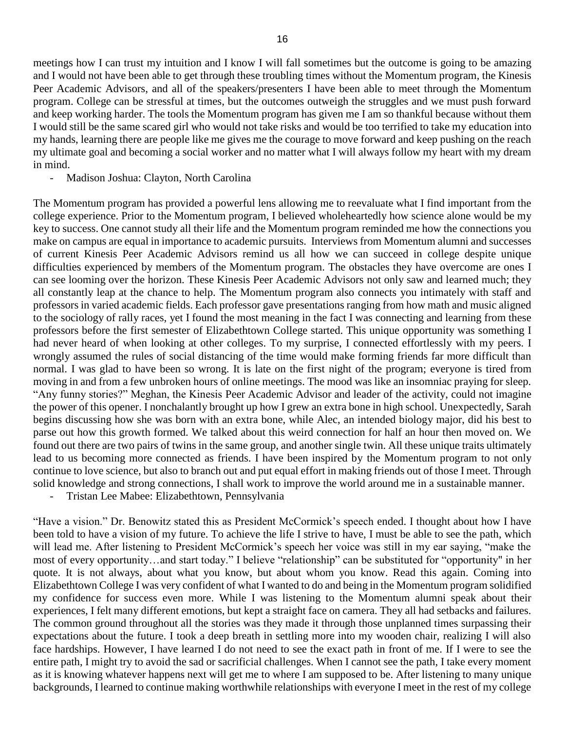meetings how I can trust my intuition and I know I will fall sometimes but the outcome is going to be amazing and I would not have been able to get through these troubling times without the Momentum program, the Kinesis Peer Academic Advisors, and all of the speakers/presenters I have been able to meet through the Momentum program. College can be stressful at times, but the outcomes outweigh the struggles and we must push forward and keep working harder. The tools the Momentum program has given me I am so thankful because without them I would still be the same scared girl who would not take risks and would be too terrified to take my education into my hands, learning there are people like me gives me the courage to move forward and keep pushing on the reach my ultimate goal and becoming a social worker and no matter what I will always follow my heart with my dream in mind.

- Madison Joshua: Clayton, North Carolina

The Momentum program has provided a powerful lens allowing me to reevaluate what I find important from the college experience. Prior to the Momentum program, I believed wholeheartedly how science alone would be my key to success. One cannot study all their life and the Momentum program reminded me how the connections you make on campus are equal in importance to academic pursuits. Interviews from Momentum alumni and successes of current Kinesis Peer Academic Advisors remind us all how we can succeed in college despite unique difficulties experienced by members of the Momentum program. The obstacles they have overcome are ones I can see looming over the horizon. These Kinesis Peer Academic Advisors not only saw and learned much; they all constantly leap at the chance to help. The Momentum program also connects you intimately with staff and professors in varied academic fields. Each professor gave presentations ranging from how math and music aligned to the sociology of rally races, yet I found the most meaning in the fact I was connecting and learning from these professors before the first semester of Elizabethtown College started. This unique opportunity was something I had never heard of when looking at other colleges. To my surprise, I connected effortlessly with my peers. I wrongly assumed the rules of social distancing of the time would make forming friends far more difficult than normal. I was glad to have been so wrong. It is late on the first night of the program; everyone is tired from moving in and from a few unbroken hours of online meetings. The mood was like an insomniac praying for sleep. "Any funny stories?" Meghan, the Kinesis Peer Academic Advisor and leader of the activity, could not imagine the power of this opener. I nonchalantly brought up how I grew an extra bone in high school. Unexpectedly, Sarah begins discussing how she was born with an extra bone, while Alec, an intended biology major, did his best to parse out how this growth formed. We talked about this weird connection for half an hour then moved on. We found out there are two pairs of twins in the same group, and another single twin. All these unique traits ultimately lead to us becoming more connected as friends. I have been inspired by the Momentum program to not only continue to love science, but also to branch out and put equal effort in making friends out of those I meet. Through solid knowledge and strong connections, I shall work to improve the world around me in a sustainable manner.

- Tristan Lee Mabee: Elizabethtown, Pennsylvania

"Have a vision." Dr. Benowitz stated this as President McCormick's speech ended. I thought about how I have been told to have a vision of my future. To achieve the life I strive to have, I must be able to see the path, which will lead me. After listening to President McCormick's speech her voice was still in my ear saying, "make the most of every opportunity…and start today." I believe "relationship" can be substituted for "opportunity" in her quote. It is not always, about what you know, but about whom you know. Read this again. Coming into Elizabethtown College I was very confident of what I wanted to do and being in the Momentum program solidified my confidence for success even more. While I was listening to the Momentum alumni speak about their experiences, I felt many different emotions, but kept a straight face on camera. They all had setbacks and failures. The common ground throughout all the stories was they made it through those unplanned times surpassing their expectations about the future. I took a deep breath in settling more into my wooden chair, realizing I will also face hardships. However, I have learned I do not need to see the exact path in front of me. If I were to see the entire path, I might try to avoid the sad or sacrificial challenges. When I cannot see the path, I take every moment as it is knowing whatever happens next will get me to where I am supposed to be. After listening to many unique backgrounds, I learned to continue making worthwhile relationships with everyone I meet in the rest of my college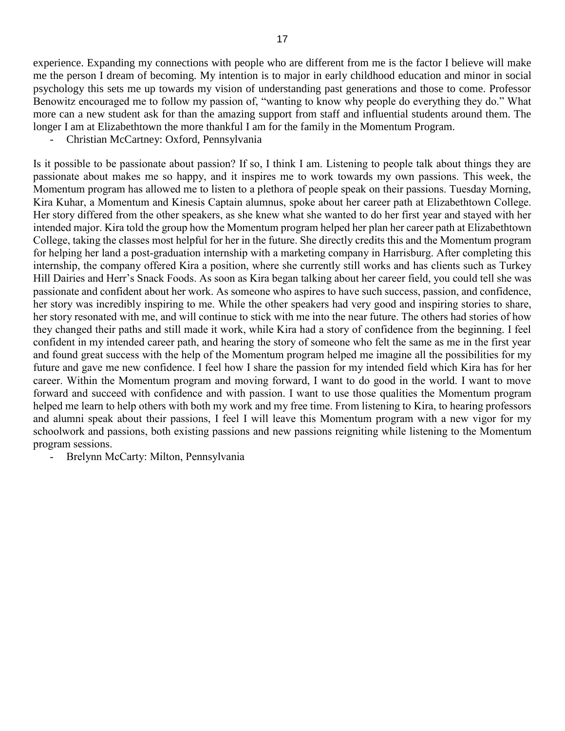experience. Expanding my connections with people who are different from me is the factor I believe will make me the person I dream of becoming. My intention is to major in early childhood education and minor in social psychology this sets me up towards my vision of understanding past generations and those to come. Professor Benowitz encouraged me to follow my passion of, "wanting to know why people do everything they do." What more can a new student ask for than the amazing support from staff and influential students around them. The longer I am at Elizabethtown the more thankful I am for the family in the Momentum Program.

- Christian McCartney: Oxford, Pennsylvania

Is it possible to be passionate about passion? If so, I think I am. Listening to people talk about things they are passionate about makes me so happy, and it inspires me to work towards my own passions. This week, the Momentum program has allowed me to listen to a plethora of people speak on their passions. Tuesday Morning, Kira Kuhar, a Momentum and Kinesis Captain alumnus, spoke about her career path at Elizabethtown College. Her story differed from the other speakers, as she knew what she wanted to do her first year and stayed with her intended major. Kira told the group how the Momentum program helped her plan her career path at Elizabethtown College, taking the classes most helpful for her in the future. She directly credits this and the Momentum program for helping her land a post-graduation internship with a marketing company in Harrisburg. After completing this internship, the company offered Kira a position, where she currently still works and has clients such as Turkey Hill Dairies and Herr's Snack Foods. As soon as Kira began talking about her career field, you could tell she was passionate and confident about her work. As someone who aspires to have such success, passion, and confidence, her story was incredibly inspiring to me. While the other speakers had very good and inspiring stories to share, her story resonated with me, and will continue to stick with me into the near future. The others had stories of how they changed their paths and still made it work, while Kira had a story of confidence from the beginning. I feel confident in my intended career path, and hearing the story of someone who felt the same as me in the first year and found great success with the help of the Momentum program helped me imagine all the possibilities for my future and gave me new confidence. I feel how I share the passion for my intended field which Kira has for her career. Within the Momentum program and moving forward, I want to do good in the world. I want to move forward and succeed with confidence and with passion. I want to use those qualities the Momentum program helped me learn to help others with both my work and my free time. From listening to Kira, to hearing professors and alumni speak about their passions, I feel I will leave this Momentum program with a new vigor for my schoolwork and passions, both existing passions and new passions reigniting while listening to the Momentum program sessions.

- Brelynn McCarty: Milton, Pennsylvania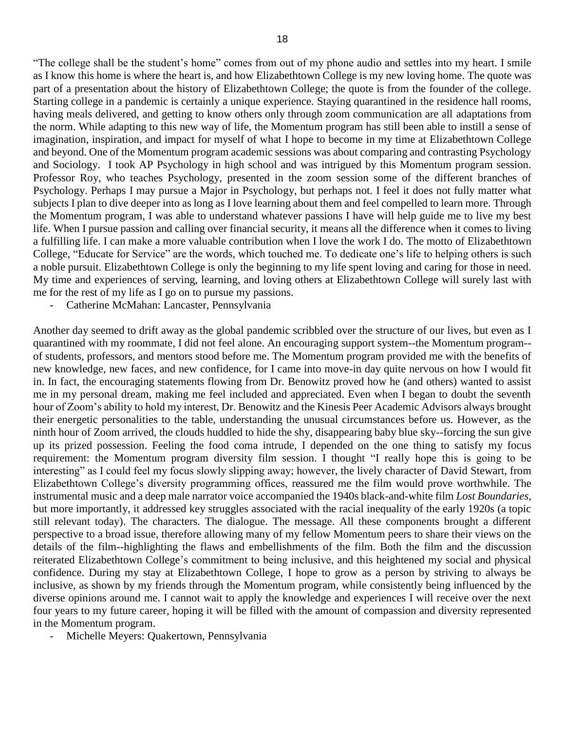"The college shall be the student's home" comes from out of my phone audio and settles into my heart. I smile as I know this home is where the heart is, and how Elizabethtown College is my new loving home. The quote was part of a presentation about the history of Elizabethtown College; the quote is from the founder of the college. Starting college in a pandemic is certainly a unique experience. Staying quarantined in the residence hall rooms, having meals delivered, and getting to know others only through zoom communication are all adaptations from the norm. While adapting to this new way of life, the Momentum program has still been able to instill a sense of imagination, inspiration, and impact for myself of what I hope to become in my time at Elizabethtown College and beyond. One of the Momentum program academic sessions was about comparing and contrasting Psychology and Sociology. I took AP Psychology in high school and was intrigued by this Momentum program session. Professor Roy, who teaches Psychology, presented in the zoom session some of the different branches of Psychology. Perhaps I may pursue a Major in Psychology, but perhaps not. I feel it does not fully matter what subjects I plan to dive deeper into as long as I love learning about them and feel compelled to learn more. Through the Momentum program, I was able to understand whatever passions I have will help guide me to live my best life. When I pursue passion and calling over financial security, it means all the difference when it comes to living a fulfilling life. I can make a more valuable contribution when I love the work I do. The motto of Elizabethtown College, "Educate for Service" are the words, which touched me. To dedicate one's life to helping others is such a noble pursuit. Elizabethtown College is only the beginning to my life spent loving and caring for those in need. My time and experiences of serving, learning, and loving others at Elizabethtown College will surely last with me for the rest of my life as I go on to pursue my passions.

Catherine McMahan: Lancaster, Pennsylvania

Another day seemed to drift away as the global pandemic scribbled over the structure of our lives, but even as I quarantined with my roommate, I did not feel alone. An encouraging support system--the Momentum program- of students, professors, and mentors stood before me. The Momentum program provided me with the benefits of new knowledge, new faces, and new confidence, for I came into move-in day quite nervous on how I would fit in. In fact, the encouraging statements flowing from Dr. Benowitz proved how he (and others) wanted to assist me in my personal dream, making me feel included and appreciated. Even when I began to doubt the seventh hour of Zoom's ability to hold my interest, Dr. Benowitz and the Kinesis Peer Academic Advisors always brought their energetic personalities to the table, understanding the unusual circumstances before us. However, as the ninth hour of Zoom arrived, the clouds huddled to hide the shy, disappearing baby blue sky--forcing the sun give up its prized possession. Feeling the food coma intrude, I depended on the one thing to satisfy my focus requirement: the Momentum program diversity film session. I thought "I really hope this is going to be interesting" as I could feel my focus slowly slipping away; however, the lively character of David Stewart, from Elizabethtown College's diversity programming offices, reassured me the film would prove worthwhile. The instrumental music and a deep male narrator voice accompanied the 1940s black-and-white film *Lost Boundaries*, but more importantly, it addressed key struggles associated with the racial inequality of the early 1920s (a topic still relevant today). The characters. The dialogue. The message. All these components brought a different perspective to a broad issue, therefore allowing many of my fellow Momentum peers to share their views on the details of the film--highlighting the flaws and embellishments of the film. Both the film and the discussion reiterated Elizabethtown College's commitment to being inclusive, and this heightened my social and physical confidence. During my stay at Elizabethtown College, I hope to grow as a person by striving to always be inclusive, as shown by my friends through the Momentum program, while consistently being influenced by the diverse opinions around me. I cannot wait to apply the knowledge and experiences I will receive over the next four years to my future career, hoping it will be filled with the amount of compassion and diversity represented in the Momentum program.

- Michelle Meyers: Quakertown, Pennsylvania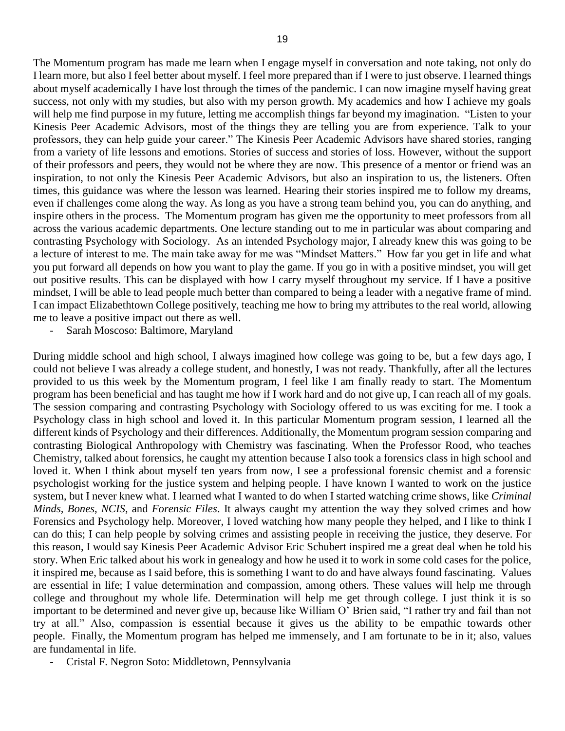The Momentum program has made me learn when I engage myself in conversation and note taking, not only do I learn more, but also I feel better about myself. I feel more prepared than if I were to just observe. I learned things about myself academically I have lost through the times of the pandemic. I can now imagine myself having great success, not only with my studies, but also with my person growth. My academics and how I achieve my goals will help me find purpose in my future, letting me accomplish things far beyond my imagination. "Listen to your Kinesis Peer Academic Advisors, most of the things they are telling you are from experience. Talk to your professors, they can help guide your career." The Kinesis Peer Academic Advisors have shared stories, ranging from a variety of life lessons and emotions. Stories of success and stories of loss. However, without the support of their professors and peers, they would not be where they are now. This presence of a mentor or friend was an inspiration, to not only the Kinesis Peer Academic Advisors, but also an inspiration to us, the listeners. Often times, this guidance was where the lesson was learned. Hearing their stories inspired me to follow my dreams, even if challenges come along the way. As long as you have a strong team behind you, you can do anything, and inspire others in the process. The Momentum program has given me the opportunity to meet professors from all across the various academic departments. One lecture standing out to me in particular was about comparing and contrasting Psychology with Sociology. As an intended Psychology major, I already knew this was going to be a lecture of interest to me. The main take away for me was "Mindset Matters." How far you get in life and what you put forward all depends on how you want to play the game. If you go in with a positive mindset, you will get out positive results. This can be displayed with how I carry myself throughout my service. If I have a positive mindset, I will be able to lead people much better than compared to being a leader with a negative frame of mind. I can impact Elizabethtown College positively, teaching me how to bring my attributes to the real world, allowing me to leave a positive impact out there as well.

Sarah Moscoso: Baltimore, Maryland

During middle school and high school, I always imagined how college was going to be, but a few days ago, I could not believe I was already a college student, and honestly, I was not ready. Thankfully, after all the lectures provided to us this week by the Momentum program, I feel like I am finally ready to start. The Momentum program has been beneficial and has taught me how if I work hard and do not give up, I can reach all of my goals. The session comparing and contrasting Psychology with Sociology offered to us was exciting for me. I took a Psychology class in high school and loved it. In this particular Momentum program session, I learned all the different kinds of Psychology and their differences. Additionally, the Momentum program session comparing and contrasting Biological Anthropology with Chemistry was fascinating. When the Professor Rood, who teaches Chemistry, talked about forensics, he caught my attention because I also took a forensics class in high school and loved it. When I think about myself ten years from now, I see a professional forensic chemist and a forensic psychologist working for the justice system and helping people. I have known I wanted to work on the justice system, but I never knew what. I learned what I wanted to do when I started watching crime shows, like *Criminal Minds, Bones*, *NCIS*, and *Forensic Files*. It always caught my attention the way they solved crimes and how Forensics and Psychology help. Moreover, I loved watching how many people they helped, and I like to think I can do this; I can help people by solving crimes and assisting people in receiving the justice, they deserve. For this reason, I would say Kinesis Peer Academic Advisor Eric Schubert inspired me a great deal when he told his story. When Eric talked about his work in genealogy and how he used it to work in some cold cases for the police, it inspired me, because as I said before, this is something I want to do and have always found fascinating. Values are essential in life; I value determination and compassion, among others. These values will help me through college and throughout my whole life. Determination will help me get through college. I just think it is so important to be determined and never give up, because like William O' Brien said, "I rather try and fail than not try at all." Also, compassion is essential because it gives us the ability to be empathic towards other people. Finally, the Momentum program has helped me immensely, and I am fortunate to be in it; also, values are fundamental in life.

- Cristal F. Negron Soto: Middletown, Pennsylvania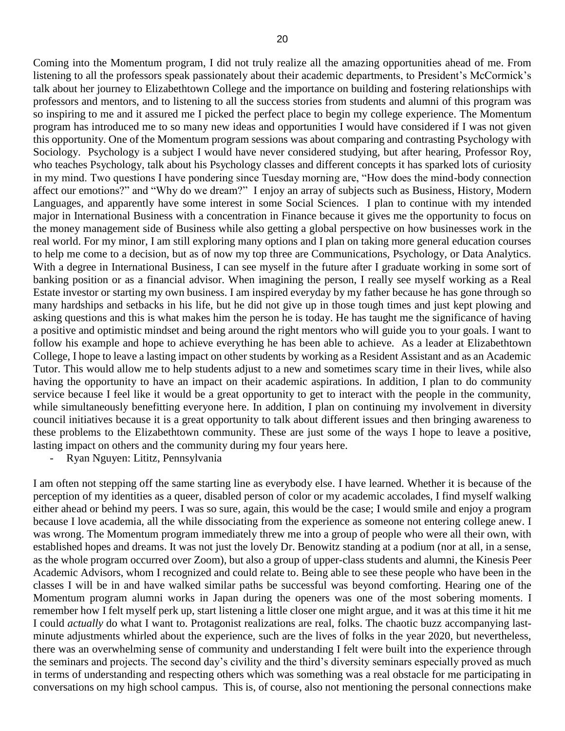Coming into the Momentum program, I did not truly realize all the amazing opportunities ahead of me. From listening to all the professors speak passionately about their academic departments, to President's McCormick's talk about her journey to Elizabethtown College and the importance on building and fostering relationships with professors and mentors, and to listening to all the success stories from students and alumni of this program was so inspiring to me and it assured me I picked the perfect place to begin my college experience. The Momentum program has introduced me to so many new ideas and opportunities I would have considered if I was not given this opportunity. One of the Momentum program sessions was about comparing and contrasting Psychology with Sociology. Psychology is a subject I would have never considered studying, but after hearing, Professor Roy, who teaches Psychology, talk about his Psychology classes and different concepts it has sparked lots of curiosity in my mind. Two questions I have pondering since Tuesday morning are, "How does the mind-body connection affect our emotions?" and "Why do we dream?" I enjoy an array of subjects such as Business, History, Modern Languages, and apparently have some interest in some Social Sciences. I plan to continue with my intended major in International Business with a concentration in Finance because it gives me the opportunity to focus on the money management side of Business while also getting a global perspective on how businesses work in the real world. For my minor, I am still exploring many options and I plan on taking more general education courses to help me come to a decision, but as of now my top three are Communications, Psychology, or Data Analytics. With a degree in International Business, I can see myself in the future after I graduate working in some sort of banking position or as a financial advisor. When imagining the person, I really see myself working as a Real Estate investor or starting my own business. I am inspired everyday by my father because he has gone through so many hardships and setbacks in his life, but he did not give up in those tough times and just kept plowing and asking questions and this is what makes him the person he is today. He has taught me the significance of having a positive and optimistic mindset and being around the right mentors who will guide you to your goals. I want to follow his example and hope to achieve everything he has been able to achieve. As a leader at Elizabethtown College, I hope to leave a lasting impact on other students by working as a Resident Assistant and as an Academic Tutor. This would allow me to help students adjust to a new and sometimes scary time in their lives, while also having the opportunity to have an impact on their academic aspirations. In addition, I plan to do community service because I feel like it would be a great opportunity to get to interact with the people in the community, while simultaneously benefitting everyone here. In addition, I plan on continuing my involvement in diversity council initiatives because it is a great opportunity to talk about different issues and then bringing awareness to these problems to the Elizabethtown community. These are just some of the ways I hope to leave a positive, lasting impact on others and the community during my four years here.

- Ryan Nguyen: Lititz, Pennsylvania

I am often not stepping off the same starting line as everybody else. I have learned. Whether it is because of the perception of my identities as a queer, disabled person of color or my academic accolades, I find myself walking either ahead or behind my peers. I was so sure, again, this would be the case; I would smile and enjoy a program because I love academia, all the while dissociating from the experience as someone not entering college anew. I was wrong. The Momentum program immediately threw me into a group of people who were all their own, with established hopes and dreams. It was not just the lovely Dr. Benowitz standing at a podium (nor at all, in a sense, as the whole program occurred over Zoom), but also a group of upper-class students and alumni, the Kinesis Peer Academic Advisors, whom I recognized and could relate to. Being able to see these people who have been in the classes I will be in and have walked similar paths be successful was beyond comforting. Hearing one of the Momentum program alumni works in Japan during the openers was one of the most sobering moments. I remember how I felt myself perk up, start listening a little closer one might argue, and it was at this time it hit me I could *actually* do what I want to. Protagonist realizations are real, folks. The chaotic buzz accompanying lastminute adjustments whirled about the experience, such are the lives of folks in the year 2020, but nevertheless, there was an overwhelming sense of community and understanding I felt were built into the experience through the seminars and projects. The second day's civility and the third's diversity seminars especially proved as much in terms of understanding and respecting others which was something was a real obstacle for me participating in conversations on my high school campus. This is, of course, also not mentioning the personal connections make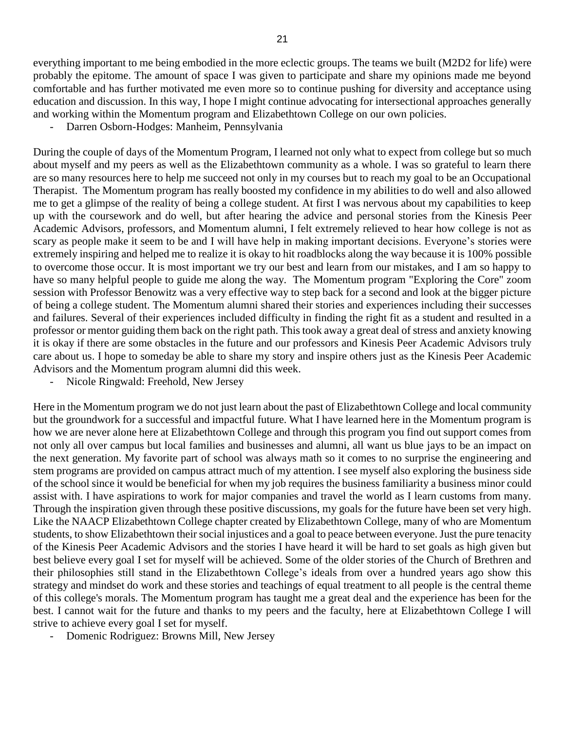everything important to me being embodied in the more eclectic groups. The teams we built (M2D2 for life) were probably the epitome. The amount of space I was given to participate and share my opinions made me beyond comfortable and has further motivated me even more so to continue pushing for diversity and acceptance using education and discussion. In this way, I hope I might continue advocating for intersectional approaches generally and working within the Momentum program and Elizabethtown College on our own policies.

Darren Osborn-Hodges: Manheim, Pennsylvania

During the couple of days of the Momentum Program, I learned not only what to expect from college but so much about myself and my peers as well as the Elizabethtown community as a whole. I was so grateful to learn there are so many resources here to help me succeed not only in my courses but to reach my goal to be an Occupational Therapist. The Momentum program has really boosted my confidence in my abilities to do well and also allowed me to get a glimpse of the reality of being a college student. At first I was nervous about my capabilities to keep up with the coursework and do well, but after hearing the advice and personal stories from the Kinesis Peer Academic Advisors, professors, and Momentum alumni, I felt extremely relieved to hear how college is not as scary as people make it seem to be and I will have help in making important decisions. Everyone's stories were extremely inspiring and helped me to realize it is okay to hit roadblocks along the way because it is 100% possible to overcome those occur. It is most important we try our best and learn from our mistakes, and I am so happy to have so many helpful people to guide me along the way. The Momentum program "Exploring the Core" zoom session with Professor Benowitz was a very effective way to step back for a second and look at the bigger picture of being a college student. The Momentum alumni shared their stories and experiences including their successes and failures. Several of their experiences included difficulty in finding the right fit as a student and resulted in a professor or mentor guiding them back on the right path. This took away a great deal of stress and anxiety knowing it is okay if there are some obstacles in the future and our professors and Kinesis Peer Academic Advisors truly care about us. I hope to someday be able to share my story and inspire others just as the Kinesis Peer Academic Advisors and the Momentum program alumni did this week.

- Nicole Ringwald: Freehold, New Jersey

Here in the Momentum program we do not just learn about the past of Elizabethtown College and local community but the groundwork for a successful and impactful future. What I have learned here in the Momentum program is how we are never alone here at Elizabethtown College and through this program you find out support comes from not only all over campus but local families and businesses and alumni, all want us blue jays to be an impact on the next generation. My favorite part of school was always math so it comes to no surprise the engineering and stem programs are provided on campus attract much of my attention. I see myself also exploring the business side of the school since it would be beneficial for when my job requires the business familiarity a business minor could assist with. I have aspirations to work for major companies and travel the world as I learn customs from many. Through the inspiration given through these positive discussions, my goals for the future have been set very high. Like the NAACP Elizabethtown College chapter created by Elizabethtown College, many of who are Momentum students, to show Elizabethtown their social injustices and a goal to peace between everyone. Just the pure tenacity of the Kinesis Peer Academic Advisors and the stories I have heard it will be hard to set goals as high given but best believe every goal I set for myself will be achieved. Some of the older stories of the Church of Brethren and their philosophies still stand in the Elizabethtown College's ideals from over a hundred years ago show this strategy and mindset do work and these stories and teachings of equal treatment to all people is the central theme of this college's morals. The Momentum program has taught me a great deal and the experience has been for the best. I cannot wait for the future and thanks to my peers and the faculty, here at Elizabethtown College I will strive to achieve every goal I set for myself.

- Domenic Rodriguez: Browns Mill, New Jersey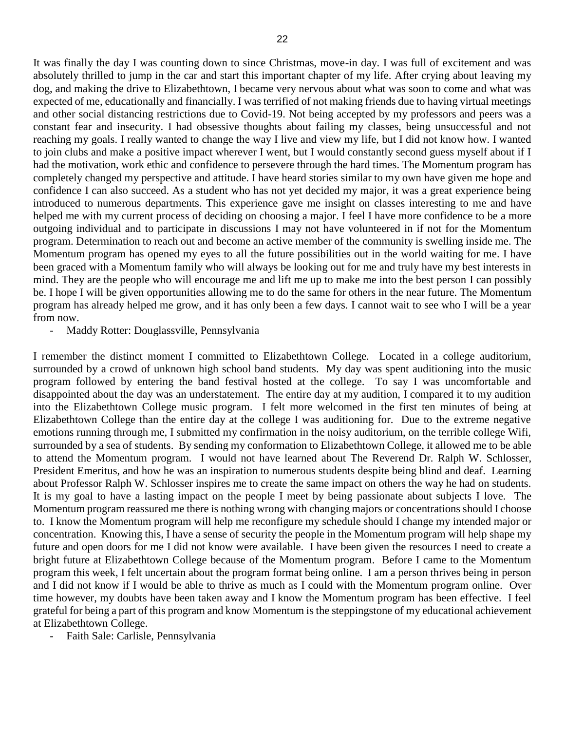It was finally the day I was counting down to since Christmas, move-in day. I was full of excitement and was absolutely thrilled to jump in the car and start this important chapter of my life. After crying about leaving my dog, and making the drive to Elizabethtown, I became very nervous about what was soon to come and what was expected of me, educationally and financially. I was terrified of not making friends due to having virtual meetings and other social distancing restrictions due to Covid-19. Not being accepted by my professors and peers was a constant fear and insecurity. I had obsessive thoughts about failing my classes, being unsuccessful and not reaching my goals. I really wanted to change the way I live and view my life, but I did not know how. I wanted to join clubs and make a positive impact wherever I went, but I would constantly second guess myself about if I had the motivation, work ethic and confidence to persevere through the hard times. The Momentum program has completely changed my perspective and attitude. I have heard stories similar to my own have given me hope and confidence I can also succeed. As a student who has not yet decided my major, it was a great experience being introduced to numerous departments. This experience gave me insight on classes interesting to me and have helped me with my current process of deciding on choosing a major. I feel I have more confidence to be a more outgoing individual and to participate in discussions I may not have volunteered in if not for the Momentum program. Determination to reach out and become an active member of the community is swelling inside me. The Momentum program has opened my eyes to all the future possibilities out in the world waiting for me. I have been graced with a Momentum family who will always be looking out for me and truly have my best interests in mind. They are the people who will encourage me and lift me up to make me into the best person I can possibly be. I hope I will be given opportunities allowing me to do the same for others in the near future. The Momentum program has already helped me grow, and it has only been a few days. I cannot wait to see who I will be a year from now.

Maddy Rotter: Douglassville, Pennsylvania

I remember the distinct moment I committed to Elizabethtown College. Located in a college auditorium, surrounded by a crowd of unknown high school band students. My day was spent auditioning into the music program followed by entering the band festival hosted at the college. To say I was uncomfortable and disappointed about the day was an understatement. The entire day at my audition, I compared it to my audition into the Elizabethtown College music program. I felt more welcomed in the first ten minutes of being at Elizabethtown College than the entire day at the college I was auditioning for. Due to the extreme negative emotions running through me, I submitted my confirmation in the noisy auditorium, on the terrible college Wifi, surrounded by a sea of students. By sending my conformation to Elizabethtown College, it allowed me to be able to attend the Momentum program. I would not have learned about The Reverend Dr. Ralph W. Schlosser, President Emeritus, and how he was an inspiration to numerous students despite being blind and deaf. Learning about Professor Ralph W. Schlosser inspires me to create the same impact on others the way he had on students. It is my goal to have a lasting impact on the people I meet by being passionate about subjects I love. The Momentum program reassured me there is nothing wrong with changing majors or concentrations should I choose to. I know the Momentum program will help me reconfigure my schedule should I change my intended major or concentration. Knowing this, I have a sense of security the people in the Momentum program will help shape my future and open doors for me I did not know were available. I have been given the resources I need to create a bright future at Elizabethtown College because of the Momentum program. Before I came to the Momentum program this week, I felt uncertain about the program format being online. I am a person thrives being in person and I did not know if I would be able to thrive as much as I could with the Momentum program online. Over time however, my doubts have been taken away and I know the Momentum program has been effective. I feel grateful for being a part of this program and know Momentum is the steppingstone of my educational achievement at Elizabethtown College.

- Faith Sale: Carlisle, Pennsylvania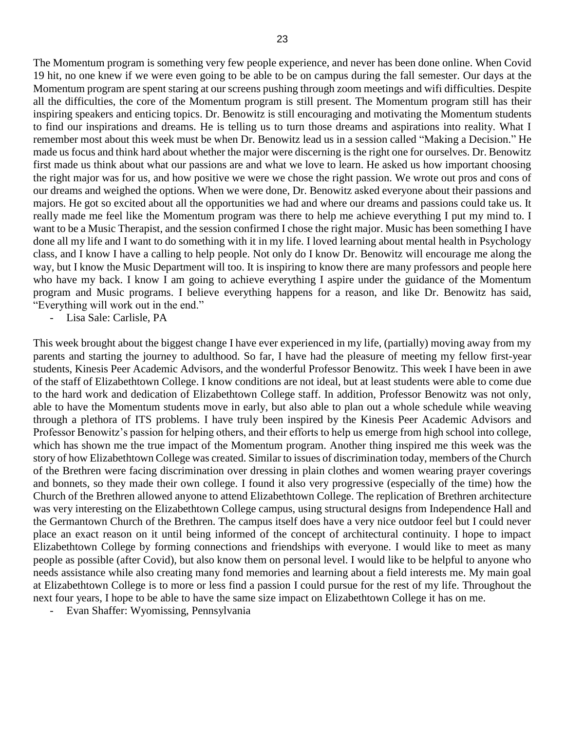The Momentum program is something very few people experience, and never has been done online. When Covid 19 hit, no one knew if we were even going to be able to be on campus during the fall semester. Our days at the Momentum program are spent staring at our screens pushing through zoom meetings and wifi difficulties. Despite all the difficulties, the core of the Momentum program is still present. The Momentum program still has their inspiring speakers and enticing topics. Dr. Benowitz is still encouraging and motivating the Momentum students to find our inspirations and dreams. He is telling us to turn those dreams and aspirations into reality. What I remember most about this week must be when Dr. Benowitz lead us in a session called "Making a Decision." He made us focus and think hard about whether the major were discerning is the right one for ourselves. Dr. Benowitz first made us think about what our passions are and what we love to learn. He asked us how important choosing the right major was for us, and how positive we were we chose the right passion. We wrote out pros and cons of our dreams and weighed the options. When we were done, Dr. Benowitz asked everyone about their passions and majors. He got so excited about all the opportunities we had and where our dreams and passions could take us. It really made me feel like the Momentum program was there to help me achieve everything I put my mind to. I want to be a Music Therapist, and the session confirmed I chose the right major. Music has been something I have done all my life and I want to do something with it in my life. I loved learning about mental health in Psychology class, and I know I have a calling to help people. Not only do I know Dr. Benowitz will encourage me along the way, but I know the Music Department will too. It is inspiring to know there are many professors and people here who have my back. I know I am going to achieve everything I aspire under the guidance of the Momentum program and Music programs. I believe everything happens for a reason, and like Dr. Benowitz has said, "Everything will work out in the end."

- Lisa Sale: Carlisle, PA

This week brought about the biggest change I have ever experienced in my life, (partially) moving away from my parents and starting the journey to adulthood. So far, I have had the pleasure of meeting my fellow first-year students, Kinesis Peer Academic Advisors, and the wonderful Professor Benowitz. This week I have been in awe of the staff of Elizabethtown College. I know conditions are not ideal, but at least students were able to come due to the hard work and dedication of Elizabethtown College staff. In addition, Professor Benowitz was not only, able to have the Momentum students move in early, but also able to plan out a whole schedule while weaving through a plethora of ITS problems. I have truly been inspired by the Kinesis Peer Academic Advisors and Professor Benowitz's passion for helping others, and their efforts to help us emerge from high school into college, which has shown me the true impact of the Momentum program. Another thing inspired me this week was the story of how Elizabethtown College was created. Similar to issues of discrimination today, members of the Church of the Brethren were facing discrimination over dressing in plain clothes and women wearing prayer coverings and bonnets, so they made their own college. I found it also very progressive (especially of the time) how the Church of the Brethren allowed anyone to attend Elizabethtown College. The replication of Brethren architecture was very interesting on the Elizabethtown College campus, using structural designs from Independence Hall and the Germantown Church of the Brethren. The campus itself does have a very nice outdoor feel but I could never place an exact reason on it until being informed of the concept of architectural continuity. I hope to impact Elizabethtown College by forming connections and friendships with everyone. I would like to meet as many people as possible (after Covid), but also know them on personal level. I would like to be helpful to anyone who needs assistance while also creating many fond memories and learning about a field interests me. My main goal at Elizabethtown College is to more or less find a passion I could pursue for the rest of my life. Throughout the next four years, I hope to be able to have the same size impact on Elizabethtown College it has on me.

- Evan Shaffer: Wyomissing, Pennsylvania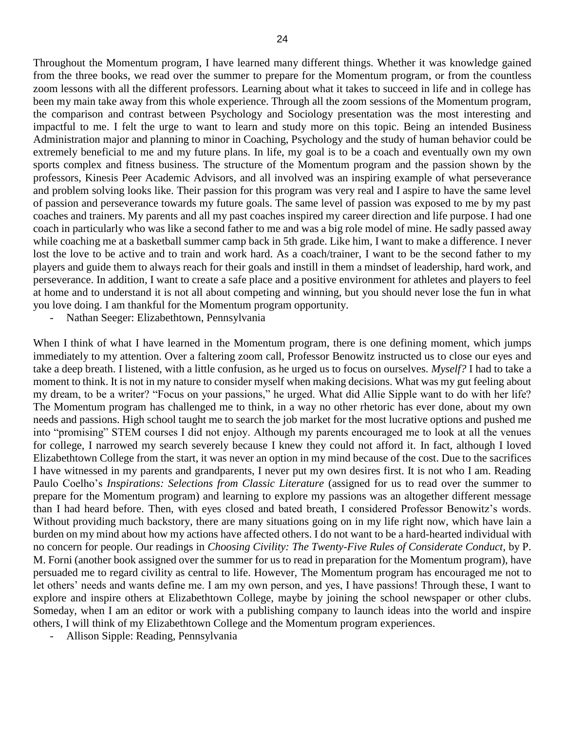Throughout the Momentum program, I have learned many different things. Whether it was knowledge gained from the three books, we read over the summer to prepare for the Momentum program, or from the countless zoom lessons with all the different professors. Learning about what it takes to succeed in life and in college has been my main take away from this whole experience. Through all the zoom sessions of the Momentum program, the comparison and contrast between Psychology and Sociology presentation was the most interesting and impactful to me. I felt the urge to want to learn and study more on this topic. Being an intended Business Administration major and planning to minor in Coaching, Psychology and the study of human behavior could be extremely beneficial to me and my future plans. In life, my goal is to be a coach and eventually own my own sports complex and fitness business. The structure of the Momentum program and the passion shown by the professors, Kinesis Peer Academic Advisors, and all involved was an inspiring example of what perseverance and problem solving looks like. Their passion for this program was very real and I aspire to have the same level of passion and perseverance towards my future goals. The same level of passion was exposed to me by my past coaches and trainers. My parents and all my past coaches inspired my career direction and life purpose. I had one coach in particularly who was like a second father to me and was a big role model of mine. He sadly passed away while coaching me at a basketball summer camp back in 5th grade. Like him, I want to make a difference. I never lost the love to be active and to train and work hard. As a coach/trainer, I want to be the second father to my players and guide them to always reach for their goals and instill in them a mindset of leadership, hard work, and perseverance. In addition, I want to create a safe place and a positive environment for athletes and players to feel at home and to understand it is not all about competing and winning, but you should never lose the fun in what you love doing. I am thankful for the Momentum program opportunity.

Nathan Seeger: Elizabethtown, Pennsylvania

When I think of what I have learned in the Momentum program, there is one defining moment, which jumps immediately to my attention. Over a faltering zoom call, Professor Benowitz instructed us to close our eyes and take a deep breath. I listened, with a little confusion, as he urged us to focus on ourselves. *Myself?* I had to take a moment to think. It is not in my nature to consider myself when making decisions. What was my gut feeling about my dream, to be a writer? "Focus on your passions," he urged. What did Allie Sipple want to do with her life? The Momentum program has challenged me to think, in a way no other rhetoric has ever done, about my own needs and passions. High school taught me to search the job market for the most lucrative options and pushed me into "promising" STEM courses I did not enjoy. Although my parents encouraged me to look at all the venues for college, I narrowed my search severely because I knew they could not afford it. In fact, although I loved Elizabethtown College from the start, it was never an option in my mind because of the cost. Due to the sacrifices I have witnessed in my parents and grandparents, I never put my own desires first. It is not who I am. Reading Paulo Coelho's *Inspirations: Selections from Classic Literature* (assigned for us to read over the summer to prepare for the Momentum program) and learning to explore my passions was an altogether different message than I had heard before. Then, with eyes closed and bated breath, I considered Professor Benowitz's words. Without providing much backstory, there are many situations going on in my life right now, which have lain a burden on my mind about how my actions have affected others. I do not want to be a hard-hearted individual with no concern for people. Our readings in *Choosing Civility: The Twenty-Five Rules of Considerate Conduct*, by P. M. Forni (another book assigned over the summer for us to read in preparation for the Momentum program), have persuaded me to regard civility as central to life. However, The Momentum program has encouraged me not to let others' needs and wants define me. I am my own person, and yes, I have passions! Through these, I want to explore and inspire others at Elizabethtown College, maybe by joining the school newspaper or other clubs. Someday, when I am an editor or work with a publishing company to launch ideas into the world and inspire others, I will think of my Elizabethtown College and the Momentum program experiences.

- Allison Sipple: Reading, Pennsylvania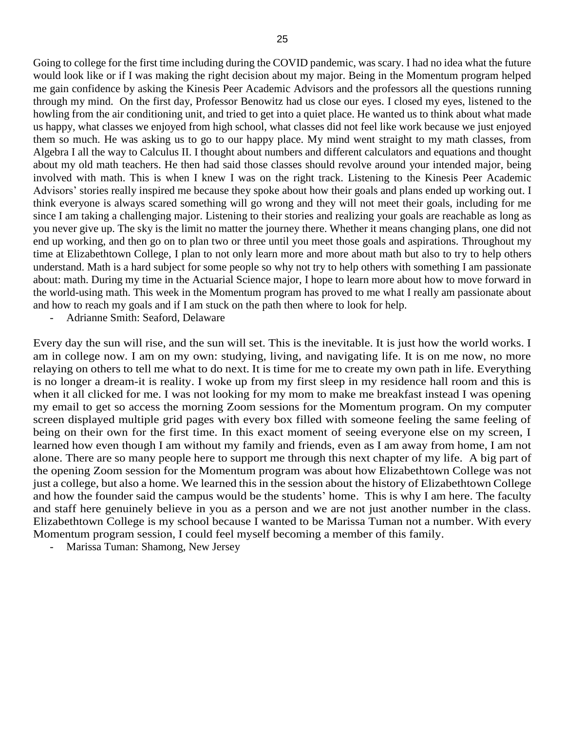Going to college for the first time including during the COVID pandemic, was scary. I had no idea what the future would look like or if I was making the right decision about my major. Being in the Momentum program helped me gain confidence by asking the Kinesis Peer Academic Advisors and the professors all the questions running through my mind. On the first day, Professor Benowitz had us close our eyes. I closed my eyes, listened to the howling from the air conditioning unit, and tried to get into a quiet place. He wanted us to think about what made us happy, what classes we enjoyed from high school, what classes did not feel like work because we just enjoyed them so much. He was asking us to go to our happy place. My mind went straight to my math classes, from Algebra I all the way to Calculus II. I thought about numbers and different calculators and equations and thought about my old math teachers. He then had said those classes should revolve around your intended major, being involved with math. This is when I knew I was on the right track. Listening to the Kinesis Peer Academic Advisors' stories really inspired me because they spoke about how their goals and plans ended up working out. I think everyone is always scared something will go wrong and they will not meet their goals, including for me since I am taking a challenging major. Listening to their stories and realizing your goals are reachable as long as you never give up. The sky is the limit no matter the journey there. Whether it means changing plans, one did not end up working, and then go on to plan two or three until you meet those goals and aspirations. Throughout my time at Elizabethtown College, I plan to not only learn more and more about math but also to try to help others understand. Math is a hard subject for some people so why not try to help others with something I am passionate about: math. During my time in the Actuarial Science major, I hope to learn more about how to move forward in the world-using math. This week in the Momentum program has proved to me what I really am passionate about and how to reach my goals and if I am stuck on the path then where to look for help.

- Adrianne Smith: Seaford, Delaware

Every day the sun will rise, and the sun will set. This is the inevitable. It is just how the world works. I am in college now. I am on my own: studying, living, and navigating life. It is on me now, no more relaying on others to tell me what to do next. It is time for me to create my own path in life. Everything is no longer a dream-it is reality. I woke up from my first sleep in my residence hall room and this is when it all clicked for me. I was not looking for my mom to make me breakfast instead I was opening my email to get so access the morning Zoom sessions for the Momentum program. On my computer screen displayed multiple grid pages with every box filled with someone feeling the same feeling of being on their own for the first time. In this exact moment of seeing everyone else on my screen, I learned how even though I am without my family and friends, even as I am away from home, I am not alone. There are so many people here to support me through this next chapter of my life. A big part of the opening Zoom session for the Momentum program was about how Elizabethtown College was not just a college, but also a home. We learned this in the session about the history of Elizabethtown College and how the founder said the campus would be the students' home. This is why I am here. The faculty and staff here genuinely believe in you as a person and we are not just another number in the class. Elizabethtown College is my school because I wanted to be Marissa Tuman not a number. With every Momentum program session, I could feel myself becoming a member of this family.

Marissa Tuman: Shamong, New Jersey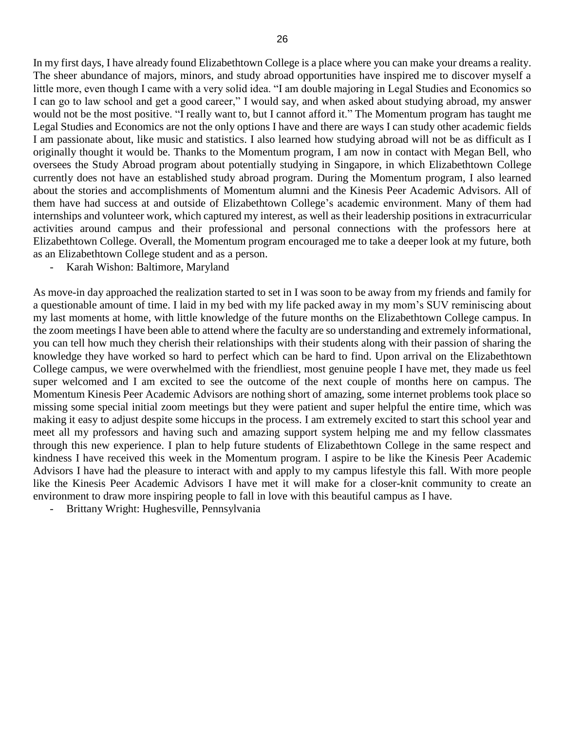In my first days, I have already found Elizabethtown College is a place where you can make your dreams a reality. The sheer abundance of majors, minors, and study abroad opportunities have inspired me to discover myself a little more, even though I came with a very solid idea. "I am double majoring in Legal Studies and Economics so I can go to law school and get a good career," I would say, and when asked about studying abroad, my answer would not be the most positive. "I really want to, but I cannot afford it." The Momentum program has taught me Legal Studies and Economics are not the only options I have and there are ways I can study other academic fields I am passionate about, like music and statistics. I also learned how studying abroad will not be as difficult as I originally thought it would be. Thanks to the Momentum program, I am now in contact with Megan Bell, who oversees the Study Abroad program about potentially studying in Singapore, in which Elizabethtown College currently does not have an established study abroad program. During the Momentum program, I also learned about the stories and accomplishments of Momentum alumni and the Kinesis Peer Academic Advisors. All of them have had success at and outside of Elizabethtown College's academic environment. Many of them had internships and volunteer work, which captured my interest, as well as their leadership positions in extracurricular activities around campus and their professional and personal connections with the professors here at Elizabethtown College. Overall, the Momentum program encouraged me to take a deeper look at my future, both as an Elizabethtown College student and as a person.

- Karah Wishon: Baltimore, Maryland

As move-in day approached the realization started to set in I was soon to be away from my friends and family for a questionable amount of time. I laid in my bed with my life packed away in my mom's SUV reminiscing about my last moments at home, with little knowledge of the future months on the Elizabethtown College campus. In the zoom meetings I have been able to attend where the faculty are so understanding and extremely informational, you can tell how much they cherish their relationships with their students along with their passion of sharing the knowledge they have worked so hard to perfect which can be hard to find. Upon arrival on the Elizabethtown College campus, we were overwhelmed with the friendliest, most genuine people I have met, they made us feel super welcomed and I am excited to see the outcome of the next couple of months here on campus. The Momentum Kinesis Peer Academic Advisors are nothing short of amazing, some internet problems took place so missing some special initial zoom meetings but they were patient and super helpful the entire time, which was making it easy to adjust despite some hiccups in the process. I am extremely excited to start this school year and meet all my professors and having such and amazing support system helping me and my fellow classmates through this new experience. I plan to help future students of Elizabethtown College in the same respect and kindness I have received this week in the Momentum program. I aspire to be like the Kinesis Peer Academic Advisors I have had the pleasure to interact with and apply to my campus lifestyle this fall. With more people like the Kinesis Peer Academic Advisors I have met it will make for a closer-knit community to create an environment to draw more inspiring people to fall in love with this beautiful campus as I have.

- Brittany Wright: Hughesville, Pennsylvania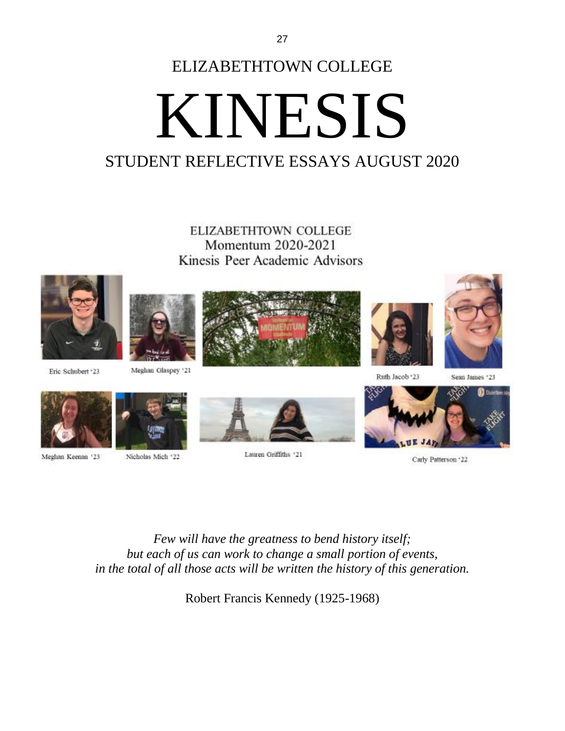## ELIZABETHTOWN COLLEGE KINESIS

## STUDENT REFLECTIVE ESSAYS AUGUST 2020

**ELIZABETHTOWN COLLEGE** Momentum 2020-2021 Kinesis Peer Academic Advisors





Meghan Glaspey '21







Ruth Jacob '23

Sean James \*23



Eric Schubert '23

Nicholas Mich \*22 Meghan Keenan '23



Lauren Griffiths '21



Carly Patterson '22

*Few will have the greatness to bend history itself; but each of us can work to change a small portion of events, in the total of all those acts will be written the history of this generation.*

Robert Francis Kennedy (1925-1968)

27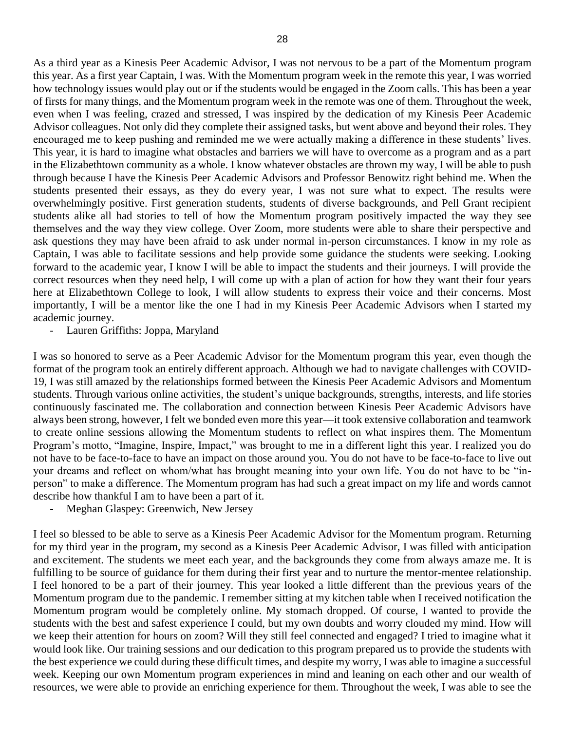As a third year as a Kinesis Peer Academic Advisor, I was not nervous to be a part of the Momentum program this year. As a first year Captain, I was. With the Momentum program week in the remote this year, I was worried how technology issues would play out or if the students would be engaged in the Zoom calls. This has been a year of firsts for many things, and the Momentum program week in the remote was one of them. Throughout the week, even when I was feeling, crazed and stressed, I was inspired by the dedication of my Kinesis Peer Academic Advisor colleagues. Not only did they complete their assigned tasks, but went above and beyond their roles. They encouraged me to keep pushing and reminded me we were actually making a difference in these students' lives. This year, it is hard to imagine what obstacles and barriers we will have to overcome as a program and as a part in the Elizabethtown community as a whole. I know whatever obstacles are thrown my way, I will be able to push through because I have the Kinesis Peer Academic Advisors and Professor Benowitz right behind me. When the students presented their essays, as they do every year, I was not sure what to expect. The results were overwhelmingly positive. First generation students, students of diverse backgrounds, and Pell Grant recipient students alike all had stories to tell of how the Momentum program positively impacted the way they see themselves and the way they view college. Over Zoom, more students were able to share their perspective and ask questions they may have been afraid to ask under normal in-person circumstances. I know in my role as Captain, I was able to facilitate sessions and help provide some guidance the students were seeking. Looking forward to the academic year, I know I will be able to impact the students and their journeys. I will provide the correct resources when they need help, I will come up with a plan of action for how they want their four years here at Elizabethtown College to look, I will allow students to express their voice and their concerns. Most importantly, I will be a mentor like the one I had in my Kinesis Peer Academic Advisors when I started my academic journey.

- Lauren Griffiths: Joppa, Maryland

I was so honored to serve as a Peer Academic Advisor for the Momentum program this year, even though the format of the program took an entirely different approach. Although we had to navigate challenges with COVID-19, I was still amazed by the relationships formed between the Kinesis Peer Academic Advisors and Momentum students. Through various online activities, the student's unique backgrounds, strengths, interests, and life stories continuously fascinated me. The collaboration and connection between Kinesis Peer Academic Advisors have always been strong, however, I felt we bonded even more this year—it took extensive collaboration and teamwork to create online sessions allowing the Momentum students to reflect on what inspires them. The Momentum Program's motto, "Imagine, Inspire, Impact," was brought to me in a different light this year. I realized you do not have to be face-to-face to have an impact on those around you. You do not have to be face-to-face to live out your dreams and reflect on whom/what has brought meaning into your own life. You do not have to be "inperson" to make a difference. The Momentum program has had such a great impact on my life and words cannot describe how thankful I am to have been a part of it.

- Meghan Glaspey: Greenwich, New Jersey

I feel so blessed to be able to serve as a Kinesis Peer Academic Advisor for the Momentum program. Returning for my third year in the program, my second as a Kinesis Peer Academic Advisor, I was filled with anticipation and excitement. The students we meet each year, and the backgrounds they come from always amaze me. It is fulfilling to be source of guidance for them during their first year and to nurture the mentor-mentee relationship. I feel honored to be a part of their journey. This year looked a little different than the previous years of the Momentum program due to the pandemic. I remember sitting at my kitchen table when I received notification the Momentum program would be completely online. My stomach dropped. Of course, I wanted to provide the students with the best and safest experience I could, but my own doubts and worry clouded my mind. How will we keep their attention for hours on zoom? Will they still feel connected and engaged? I tried to imagine what it would look like. Our training sessions and our dedication to this program prepared us to provide the students with the best experience we could during these difficult times, and despite my worry, I was able to imagine a successful week. Keeping our own Momentum program experiences in mind and leaning on each other and our wealth of resources, we were able to provide an enriching experience for them. Throughout the week, I was able to see the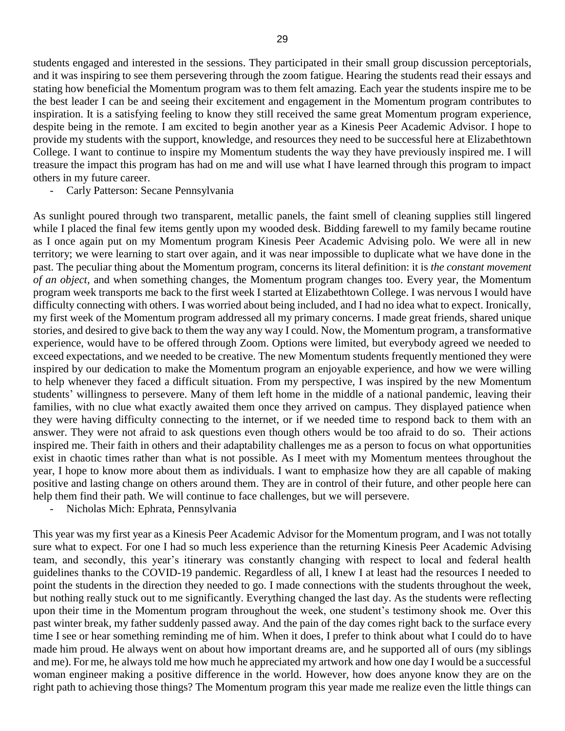students engaged and interested in the sessions. They participated in their small group discussion perceptorials, and it was inspiring to see them persevering through the zoom fatigue. Hearing the students read their essays and stating how beneficial the Momentum program was to them felt amazing. Each year the students inspire me to be the best leader I can be and seeing their excitement and engagement in the Momentum program contributes to inspiration. It is a satisfying feeling to know they still received the same great Momentum program experience, despite being in the remote. I am excited to begin another year as a Kinesis Peer Academic Advisor. I hope to provide my students with the support, knowledge, and resources they need to be successful here at Elizabethtown College. I want to continue to inspire my Momentum students the way they have previously inspired me. I will treasure the impact this program has had on me and will use what I have learned through this program to impact others in my future career.

- Carly Patterson: Secane Pennsylvania

As sunlight poured through two transparent, metallic panels, the faint smell of cleaning supplies still lingered while I placed the final few items gently upon my wooded desk. Bidding farewell to my family became routine as I once again put on my Momentum program Kinesis Peer Academic Advising polo. We were all in new territory; we were learning to start over again, and it was near impossible to duplicate what we have done in the past. The peculiar thing about the Momentum program, concerns its literal definition: it is *the constant movement of an object*, and when something changes, the Momentum program changes too. Every year, the Momentum program week transports me back to the first week I started at Elizabethtown College. I was nervous I would have difficulty connecting with others. I was worried about being included, and I had no idea what to expect. Ironically, my first week of the Momentum program addressed all my primary concerns. I made great friends, shared unique stories, and desired to give back to them the way any way I could. Now, the Momentum program, a transformative experience, would have to be offered through Zoom. Options were limited, but everybody agreed we needed to exceed expectations, and we needed to be creative. The new Momentum students frequently mentioned they were inspired by our dedication to make the Momentum program an enjoyable experience, and how we were willing to help whenever they faced a difficult situation. From my perspective, I was inspired by the new Momentum students' willingness to persevere. Many of them left home in the middle of a national pandemic, leaving their families, with no clue what exactly awaited them once they arrived on campus. They displayed patience when they were having difficulty connecting to the internet, or if we needed time to respond back to them with an answer. They were not afraid to ask questions even though others would be too afraid to do so. Their actions inspired me. Their faith in others and their adaptability challenges me as a person to focus on what opportunities exist in chaotic times rather than what is not possible. As I meet with my Momentum mentees throughout the year, I hope to know more about them as individuals. I want to emphasize how they are all capable of making positive and lasting change on others around them. They are in control of their future, and other people here can help them find their path. We will continue to face challenges, but we will persevere.

- Nicholas Mich: Ephrata, Pennsylvania

This year was my first year as a Kinesis Peer Academic Advisor for the Momentum program, and I was not totally sure what to expect. For one I had so much less experience than the returning Kinesis Peer Academic Advising team, and secondly, this year's itinerary was constantly changing with respect to local and federal health guidelines thanks to the COVID-19 pandemic. Regardless of all, I knew I at least had the resources I needed to point the students in the direction they needed to go. I made connections with the students throughout the week, but nothing really stuck out to me significantly. Everything changed the last day. As the students were reflecting upon their time in the Momentum program throughout the week, one student's testimony shook me. Over this past winter break, my father suddenly passed away. And the pain of the day comes right back to the surface every time I see or hear something reminding me of him. When it does, I prefer to think about what I could do to have made him proud. He always went on about how important dreams are, and he supported all of ours (my siblings and me). For me, he always told me how much he appreciated my artwork and how one day I would be a successful woman engineer making a positive difference in the world. However, how does anyone know they are on the right path to achieving those things? The Momentum program this year made me realize even the little things can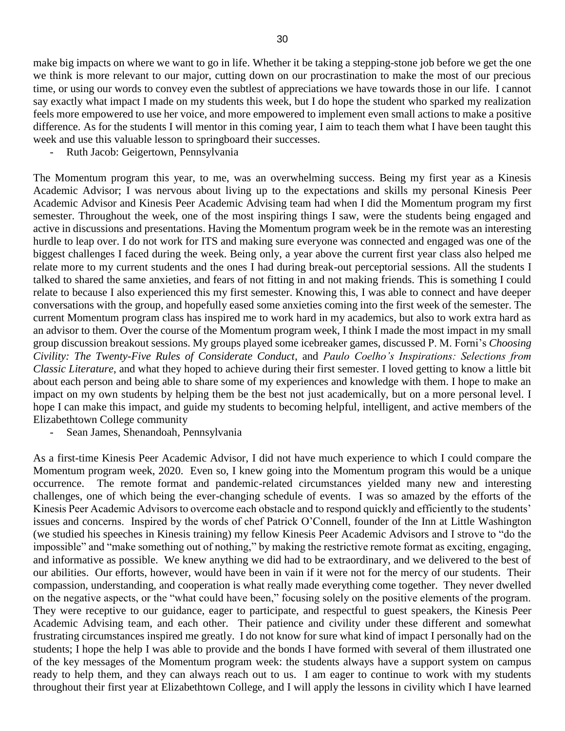make big impacts on where we want to go in life. Whether it be taking a stepping-stone job before we get the one we think is more relevant to our major, cutting down on our procrastination to make the most of our precious time, or using our words to convey even the subtlest of appreciations we have towards those in our life. I cannot say exactly what impact I made on my students this week, but I do hope the student who sparked my realization feels more empowered to use her voice, and more empowered to implement even small actions to make a positive difference. As for the students I will mentor in this coming year, I aim to teach them what I have been taught this week and use this valuable lesson to springboard their successes.

Ruth Jacob: Geigertown, Pennsylvania

The Momentum program this year, to me, was an overwhelming success. Being my first year as a Kinesis Academic Advisor; I was nervous about living up to the expectations and skills my personal Kinesis Peer Academic Advisor and Kinesis Peer Academic Advising team had when I did the Momentum program my first semester. Throughout the week, one of the most inspiring things I saw, were the students being engaged and active in discussions and presentations. Having the Momentum program week be in the remote was an interesting hurdle to leap over. I do not work for ITS and making sure everyone was connected and engaged was one of the biggest challenges I faced during the week. Being only, a year above the current first year class also helped me relate more to my current students and the ones I had during break-out perceptorial sessions. All the students I talked to shared the same anxieties, and fears of not fitting in and not making friends. This is something I could relate to because I also experienced this my first semester. Knowing this, I was able to connect and have deeper conversations with the group, and hopefully eased some anxieties coming into the first week of the semester. The current Momentum program class has inspired me to work hard in my academics, but also to work extra hard as an advisor to them. Over the course of the Momentum program week, I think I made the most impact in my small group discussion breakout sessions. My groups played some icebreaker games, discussed P. M. Forni's *Choosing Civility: The Twenty-Five Rules of Considerate Conduct*, and *Paulo Coelho's Inspirations: Selections from Classic Literature*, and what they hoped to achieve during their first semester. I loved getting to know a little bit about each person and being able to share some of my experiences and knowledge with them. I hope to make an impact on my own students by helping them be the best not just academically, but on a more personal level. I hope I can make this impact, and guide my students to becoming helpful, intelligent, and active members of the Elizabethtown College community

Sean James, Shenandoah, Pennsylvania

As a first-time Kinesis Peer Academic Advisor, I did not have much experience to which I could compare the Momentum program week, 2020. Even so, I knew going into the Momentum program this would be a unique occurrence. The remote format and pandemic-related circumstances yielded many new and interesting challenges, one of which being the ever-changing schedule of events. I was so amazed by the efforts of the Kinesis Peer Academic Advisors to overcome each obstacle and to respond quickly and efficiently to the students' issues and concerns. Inspired by the words of chef Patrick O'Connell, founder of the Inn at Little Washington (we studied his speeches in Kinesis training) my fellow Kinesis Peer Academic Advisors and I strove to "do the impossible" and "make something out of nothing," by making the restrictive remote format as exciting, engaging, and informative as possible. We knew anything we did had to be extraordinary, and we delivered to the best of our abilities. Our efforts, however, would have been in vain if it were not for the mercy of our students. Their compassion, understanding, and cooperation is what really made everything come together. They never dwelled on the negative aspects, or the "what could have been," focusing solely on the positive elements of the program. They were receptive to our guidance, eager to participate, and respectful to guest speakers, the Kinesis Peer Academic Advising team, and each other. Their patience and civility under these different and somewhat frustrating circumstances inspired me greatly. I do not know for sure what kind of impact I personally had on the students; I hope the help I was able to provide and the bonds I have formed with several of them illustrated one of the key messages of the Momentum program week: the students always have a support system on campus ready to help them, and they can always reach out to us. I am eager to continue to work with my students throughout their first year at Elizabethtown College, and I will apply the lessons in civility which I have learned